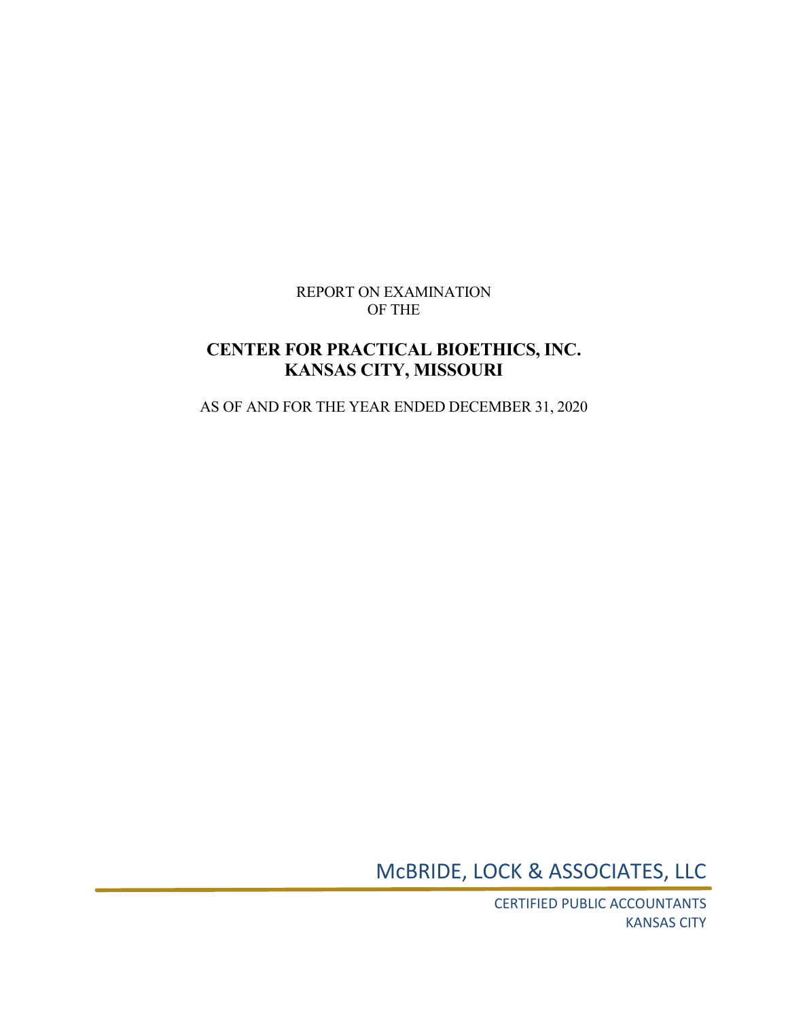# REPORT ON EXAMINATION OF THE

# **CENTER FOR PRACTICAL BIOETHICS, INC. KANSAS CITY, MISSOURI**

AS OF AND FOR THE YEAR ENDED DECEMBER 31, 2020

McBRIDE, LOCK & ASSOCIATES, LLC

CERTIFIED PUBLIC ACCOUNTANTS KANSAS CITY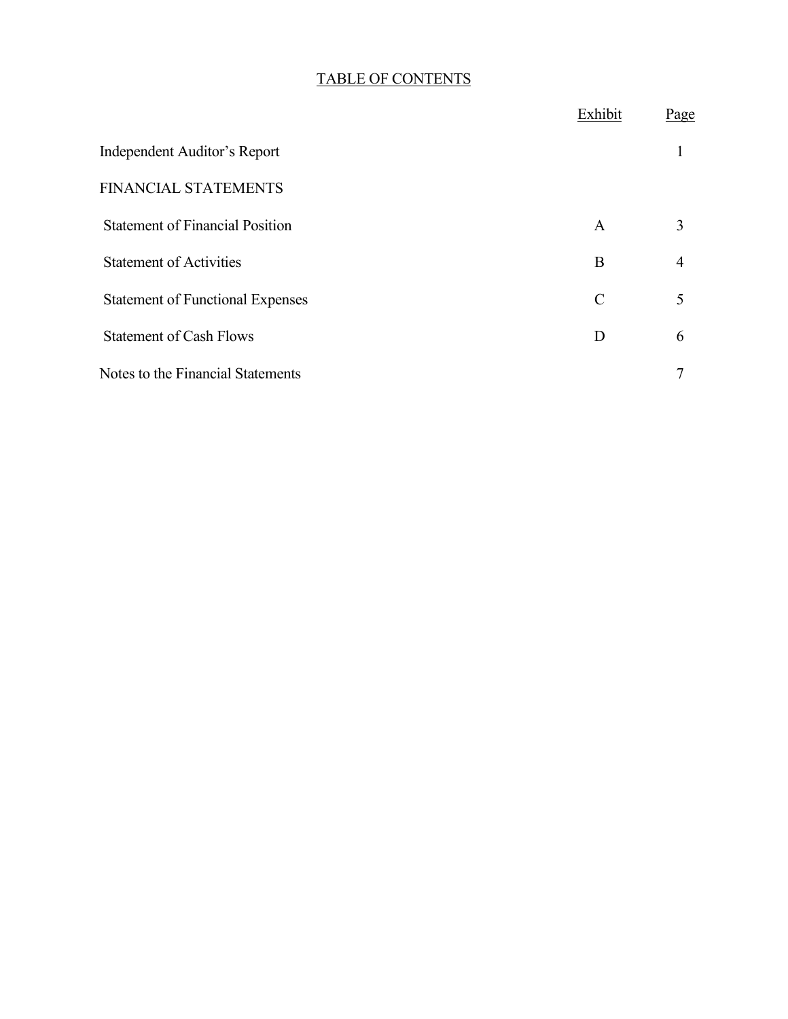# TABLE OF CONTENTS

|                                         | Exhibit | Page |
|-----------------------------------------|---------|------|
| <b>Independent Auditor's Report</b>     |         |      |
| FINANCIAL STATEMENTS                    |         |      |
| <b>Statement of Financial Position</b>  | A       | 3    |
| <b>Statement of Activities</b>          | Β       | 4    |
| <b>Statement of Functional Expenses</b> | C       |      |
| <b>Statement of Cash Flows</b>          | D       | 6    |
| Notes to the Financial Statements       |         | 7    |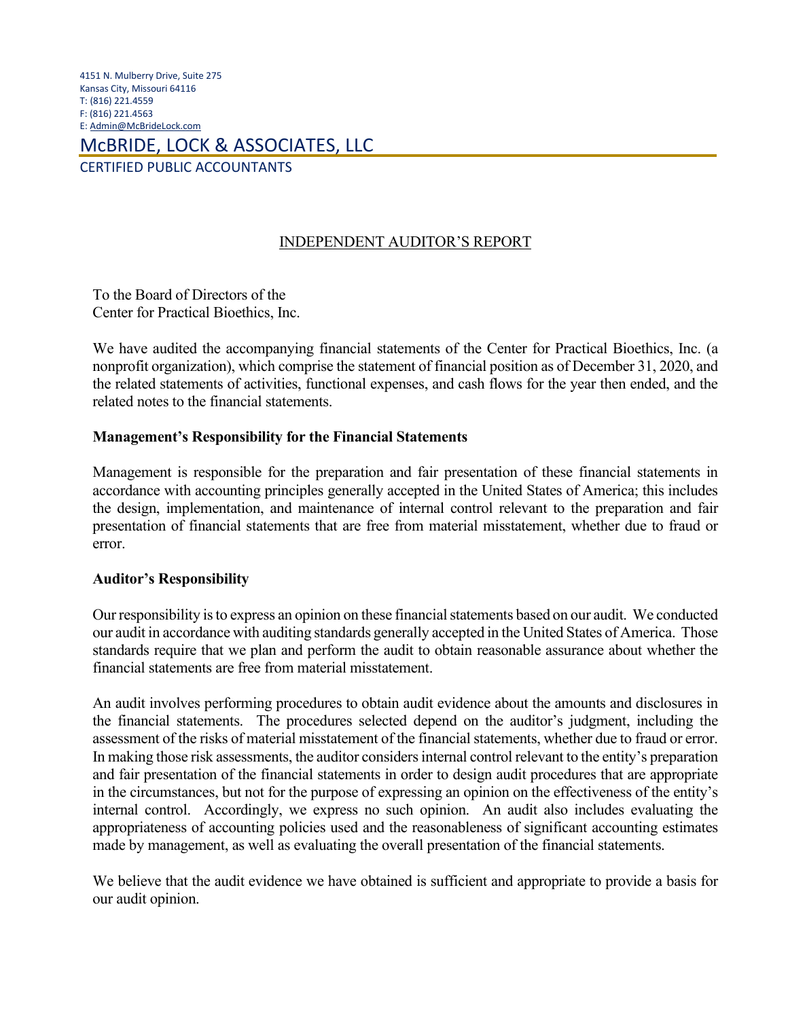# INDEPENDENT AUDITOR'S REPORT

To the Board of Directors of the Center for Practical Bioethics, Inc.

We have audited the accompanying financial statements of the Center for Practical Bioethics, Inc. (a nonprofit organization), which comprise the statement of financial position as of December 31, 2020, and the related statements of activities, functional expenses, and cash flows for the year then ended, and the related notes to the financial statements.

# **Management's Responsibility for the Financial Statements**

Management is responsible for the preparation and fair presentation of these financial statements in accordance with accounting principles generally accepted in the United States of America; this includes the design, implementation, and maintenance of internal control relevant to the preparation and fair presentation of financial statements that are free from material misstatement, whether due to fraud or error.

### **Auditor's Responsibility**

Our responsibility is to express an opinion on these financial statements based on our audit. We conducted our audit in accordance with auditing standards generally accepted in the United States of America. Those standards require that we plan and perform the audit to obtain reasonable assurance about whether the financial statements are free from material misstatement.

An audit involves performing procedures to obtain audit evidence about the amounts and disclosures in the financial statements. The procedures selected depend on the auditor's judgment, including the assessment of the risks of material misstatement of the financial statements, whether due to fraud or error. In making those risk assessments, the auditor considers internal control relevant to the entity's preparation and fair presentation of the financial statements in order to design audit procedures that are appropriate in the circumstances, but not for the purpose of expressing an opinion on the effectiveness of the entity's internal control. Accordingly, we express no such opinion. An audit also includes evaluating the appropriateness of accounting policies used and the reasonableness of significant accounting estimates made by management, as well as evaluating the overall presentation of the financial statements.

We believe that the audit evidence we have obtained is sufficient and appropriate to provide a basis for our audit opinion.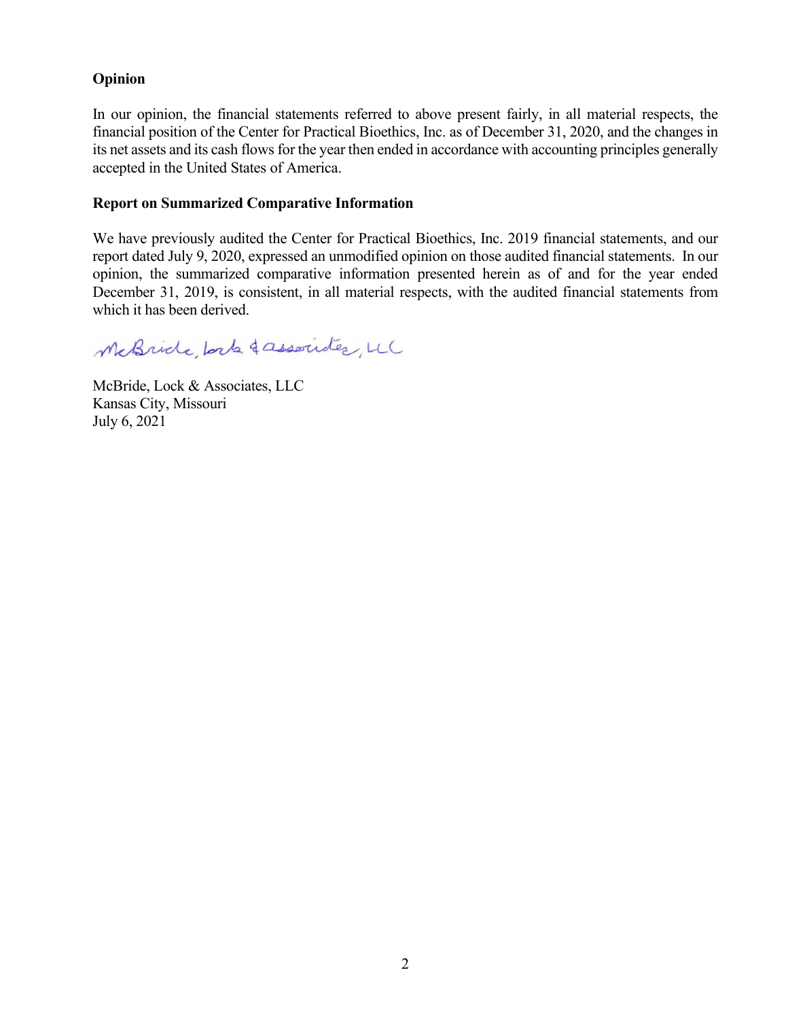# **Opinion**

In our opinion, the financial statements referred to above present fairly, in all material respects, the financial position of the Center for Practical Bioethics, Inc. as of December 31, 2020, and the changes in its net assets and its cash flows for the year then ended in accordance with accounting principles generally accepted in the United States of America.

# **Report on Summarized Comparative Information**

We have previously audited the Center for Practical Bioethics, Inc. 2019 financial statements, and our report dated July 9, 2020, expressed an unmodified opinion on those audited financial statements. In our opinion, the summarized comparative information presented herein as of and for the year ended December 31, 2019, is consistent, in all material respects, with the audited financial statements from which it has been derived.

McBride, lock & associates, LLC

McBride, Lock & Associates, LLC Kansas City, Missouri July 6, 2021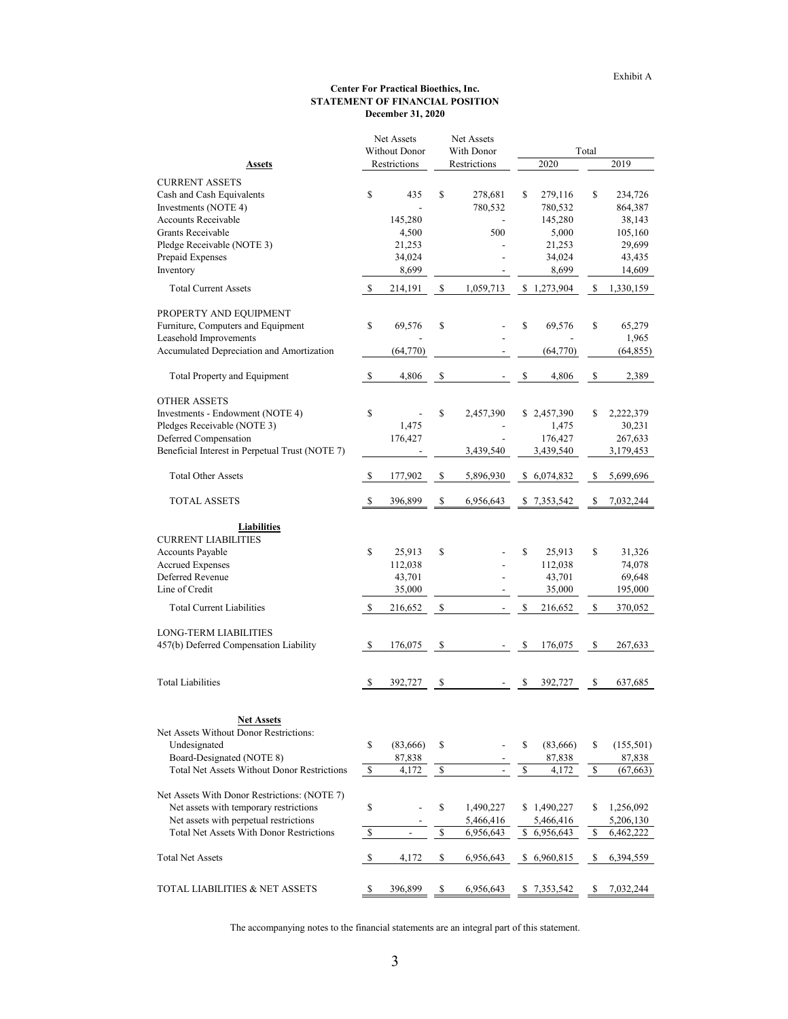#### **Center For Practical Bioethics, Inc. STATEMENT OF FINANCIAL POSITION December 31, 2020**

| Without Donor<br>2020<br>2019<br>Restrictions<br>Restrictions<br><b>Assets</b><br>\$<br>Cash and Cash Equivalents<br>S<br>278,681<br>279,116<br>\$<br>435<br>\$<br>234,726<br>Investments (NOTE 4)<br>780,532<br>780,532<br>864,387<br><b>Accounts Receivable</b><br>145,280<br>145,280<br>38,143<br>Grants Receivable<br>4,500<br>500<br>5,000<br>105,160<br>Pledge Receivable (NOTE 3)<br>21,253<br>29,699<br>21,253<br>34,024<br>34,024<br>43,435<br>8,699<br>Inventory<br>8,699<br>14,609<br><b>Total Current Assets</b><br>\$<br>214,191<br>\$<br>S<br>1,059,713<br>\$1,273,904<br>1,330,159<br>PROPERTY AND EQUIPMENT<br>\$<br>\$<br>Furniture, Computers and Equipment<br>\$<br>69,576<br>\$<br>65,279<br>69,576<br>Leasehold Improvements<br>1,965<br>Accumulated Depreciation and Amortization<br>(64,770)<br>(64, 770)<br>(64, 855)<br>Total Property and Equipment<br>\$<br>\$<br>\$<br>\$<br>4,806<br>4,806<br>2,389<br>\$<br>Investments - Endowment (NOTE 4)<br>\$<br>2,457,390<br>\$2,457,390<br>S<br>2,222,379<br>Pledges Receivable (NOTE 3)<br>1,475<br>1,475<br>30,231<br>Deferred Compensation<br>176,427<br>176,427<br>267,633<br>Beneficial Interest in Perpetual Trust (NOTE 7)<br>3,439,540<br>3,439,540<br>3,179,453<br><b>Total Other Assets</b><br>\$<br>177,902<br>\$<br>5,699,696<br>5,896,930<br>\$<br>6,074,832<br>\$<br><b>TOTAL ASSETS</b><br>\$<br>396,899<br>\$<br>6,956,643<br>\$7,353,542<br>\$<br>7,032,244<br><b>Liabilities</b><br>\$<br>25,913<br>\$<br>\$<br>25,913<br>\$<br>31,326<br>112,038<br>74,078<br>112,038<br>43,701<br>43,701<br>69,648<br>35,000<br>35,000<br>195,000<br>\$<br><b>Total Current Liabilities</b><br>-S<br>S<br>\$<br>216,652<br>216,652<br>370,052<br><b>LONG-TERM LIABILITIES</b><br>457(b) Deferred Compensation Liability<br>-S<br>176,075<br>S<br>\$<br>176,075<br>\$<br>267,633<br><b>Total Liabilities</b><br>\$<br>S<br>\$<br>392,727<br>\$<br>392,727<br>637,685<br><b>Net Assets</b><br>Net Assets Without Donor Restrictions:<br>\$<br>Undesignated<br>(83,666)<br>\$<br>\$<br>(83,666)<br>\$<br>(155, 501)<br>Board-Designated (NOTE 8)<br>87,838<br>87,838<br>87,838<br><b>Total Net Assets Without Donor Restrictions</b><br>\$<br>\$<br>\$<br>\$<br>4,172<br>4,172<br>(67, 663)<br>\$<br>\$<br>Net assets with temporary restrictions<br>1,490,227<br>\$1,490,227<br>\$<br>1,256,092<br>Net assets with perpetual restrictions<br>5,466,416<br>5,466,416<br>5,206,130<br><b>Total Net Assets With Donor Restrictions</b><br>$\mathbb{S}$<br>\$<br>6,956,643<br>\$<br>6,956,643<br>\$<br>6,462,222<br>-<br><b>Total Net Assets</b><br>\$<br>-S<br>4,172<br>6,956,643<br>\$6,960,815<br>\$<br>6,394,559<br>TOTAL LIABILITIES & NET ASSETS<br>\$<br>396,899<br>\$<br>6,956,643<br>\$<br>\$7,353,542<br>7,032,244 |                                              | Net Assets |  | Net Assets |            | Total |  |  |  |
|-------------------------------------------------------------------------------------------------------------------------------------------------------------------------------------------------------------------------------------------------------------------------------------------------------------------------------------------------------------------------------------------------------------------------------------------------------------------------------------------------------------------------------------------------------------------------------------------------------------------------------------------------------------------------------------------------------------------------------------------------------------------------------------------------------------------------------------------------------------------------------------------------------------------------------------------------------------------------------------------------------------------------------------------------------------------------------------------------------------------------------------------------------------------------------------------------------------------------------------------------------------------------------------------------------------------------------------------------------------------------------------------------------------------------------------------------------------------------------------------------------------------------------------------------------------------------------------------------------------------------------------------------------------------------------------------------------------------------------------------------------------------------------------------------------------------------------------------------------------------------------------------------------------------------------------------------------------------------------------------------------------------------------------------------------------------------------------------------------------------------------------------------------------------------------------------------------------------------------------------------------------------------------------------------------------------------------------------------------------------------------------------------------------------------------------------------------------------------------------------------------------------------------------------------------------------------------------------------------------------------------------------------------------------------------------------------------------------------------------------------------------------------------------------------|----------------------------------------------|------------|--|------------|------------|-------|--|--|--|
|                                                                                                                                                                                                                                                                                                                                                                                                                                                                                                                                                                                                                                                                                                                                                                                                                                                                                                                                                                                                                                                                                                                                                                                                                                                                                                                                                                                                                                                                                                                                                                                                                                                                                                                                                                                                                                                                                                                                                                                                                                                                                                                                                                                                                                                                                                                                                                                                                                                                                                                                                                                                                                                                                                                                                                                                 |                                              |            |  |            | With Donor |       |  |  |  |
|                                                                                                                                                                                                                                                                                                                                                                                                                                                                                                                                                                                                                                                                                                                                                                                                                                                                                                                                                                                                                                                                                                                                                                                                                                                                                                                                                                                                                                                                                                                                                                                                                                                                                                                                                                                                                                                                                                                                                                                                                                                                                                                                                                                                                                                                                                                                                                                                                                                                                                                                                                                                                                                                                                                                                                                                 |                                              |            |  |            |            |       |  |  |  |
|                                                                                                                                                                                                                                                                                                                                                                                                                                                                                                                                                                                                                                                                                                                                                                                                                                                                                                                                                                                                                                                                                                                                                                                                                                                                                                                                                                                                                                                                                                                                                                                                                                                                                                                                                                                                                                                                                                                                                                                                                                                                                                                                                                                                                                                                                                                                                                                                                                                                                                                                                                                                                                                                                                                                                                                                 | <b>CURRENT ASSETS</b>                        |            |  |            |            |       |  |  |  |
|                                                                                                                                                                                                                                                                                                                                                                                                                                                                                                                                                                                                                                                                                                                                                                                                                                                                                                                                                                                                                                                                                                                                                                                                                                                                                                                                                                                                                                                                                                                                                                                                                                                                                                                                                                                                                                                                                                                                                                                                                                                                                                                                                                                                                                                                                                                                                                                                                                                                                                                                                                                                                                                                                                                                                                                                 |                                              |            |  |            |            |       |  |  |  |
|                                                                                                                                                                                                                                                                                                                                                                                                                                                                                                                                                                                                                                                                                                                                                                                                                                                                                                                                                                                                                                                                                                                                                                                                                                                                                                                                                                                                                                                                                                                                                                                                                                                                                                                                                                                                                                                                                                                                                                                                                                                                                                                                                                                                                                                                                                                                                                                                                                                                                                                                                                                                                                                                                                                                                                                                 |                                              |            |  |            |            |       |  |  |  |
|                                                                                                                                                                                                                                                                                                                                                                                                                                                                                                                                                                                                                                                                                                                                                                                                                                                                                                                                                                                                                                                                                                                                                                                                                                                                                                                                                                                                                                                                                                                                                                                                                                                                                                                                                                                                                                                                                                                                                                                                                                                                                                                                                                                                                                                                                                                                                                                                                                                                                                                                                                                                                                                                                                                                                                                                 |                                              |            |  |            |            |       |  |  |  |
|                                                                                                                                                                                                                                                                                                                                                                                                                                                                                                                                                                                                                                                                                                                                                                                                                                                                                                                                                                                                                                                                                                                                                                                                                                                                                                                                                                                                                                                                                                                                                                                                                                                                                                                                                                                                                                                                                                                                                                                                                                                                                                                                                                                                                                                                                                                                                                                                                                                                                                                                                                                                                                                                                                                                                                                                 |                                              |            |  |            |            |       |  |  |  |
|                                                                                                                                                                                                                                                                                                                                                                                                                                                                                                                                                                                                                                                                                                                                                                                                                                                                                                                                                                                                                                                                                                                                                                                                                                                                                                                                                                                                                                                                                                                                                                                                                                                                                                                                                                                                                                                                                                                                                                                                                                                                                                                                                                                                                                                                                                                                                                                                                                                                                                                                                                                                                                                                                                                                                                                                 |                                              |            |  |            |            |       |  |  |  |
|                                                                                                                                                                                                                                                                                                                                                                                                                                                                                                                                                                                                                                                                                                                                                                                                                                                                                                                                                                                                                                                                                                                                                                                                                                                                                                                                                                                                                                                                                                                                                                                                                                                                                                                                                                                                                                                                                                                                                                                                                                                                                                                                                                                                                                                                                                                                                                                                                                                                                                                                                                                                                                                                                                                                                                                                 | Prepaid Expenses                             |            |  |            |            |       |  |  |  |
|                                                                                                                                                                                                                                                                                                                                                                                                                                                                                                                                                                                                                                                                                                                                                                                                                                                                                                                                                                                                                                                                                                                                                                                                                                                                                                                                                                                                                                                                                                                                                                                                                                                                                                                                                                                                                                                                                                                                                                                                                                                                                                                                                                                                                                                                                                                                                                                                                                                                                                                                                                                                                                                                                                                                                                                                 |                                              |            |  |            |            |       |  |  |  |
|                                                                                                                                                                                                                                                                                                                                                                                                                                                                                                                                                                                                                                                                                                                                                                                                                                                                                                                                                                                                                                                                                                                                                                                                                                                                                                                                                                                                                                                                                                                                                                                                                                                                                                                                                                                                                                                                                                                                                                                                                                                                                                                                                                                                                                                                                                                                                                                                                                                                                                                                                                                                                                                                                                                                                                                                 |                                              |            |  |            |            |       |  |  |  |
|                                                                                                                                                                                                                                                                                                                                                                                                                                                                                                                                                                                                                                                                                                                                                                                                                                                                                                                                                                                                                                                                                                                                                                                                                                                                                                                                                                                                                                                                                                                                                                                                                                                                                                                                                                                                                                                                                                                                                                                                                                                                                                                                                                                                                                                                                                                                                                                                                                                                                                                                                                                                                                                                                                                                                                                                 |                                              |            |  |            |            |       |  |  |  |
|                                                                                                                                                                                                                                                                                                                                                                                                                                                                                                                                                                                                                                                                                                                                                                                                                                                                                                                                                                                                                                                                                                                                                                                                                                                                                                                                                                                                                                                                                                                                                                                                                                                                                                                                                                                                                                                                                                                                                                                                                                                                                                                                                                                                                                                                                                                                                                                                                                                                                                                                                                                                                                                                                                                                                                                                 |                                              |            |  |            |            |       |  |  |  |
|                                                                                                                                                                                                                                                                                                                                                                                                                                                                                                                                                                                                                                                                                                                                                                                                                                                                                                                                                                                                                                                                                                                                                                                                                                                                                                                                                                                                                                                                                                                                                                                                                                                                                                                                                                                                                                                                                                                                                                                                                                                                                                                                                                                                                                                                                                                                                                                                                                                                                                                                                                                                                                                                                                                                                                                                 |                                              |            |  |            |            |       |  |  |  |
|                                                                                                                                                                                                                                                                                                                                                                                                                                                                                                                                                                                                                                                                                                                                                                                                                                                                                                                                                                                                                                                                                                                                                                                                                                                                                                                                                                                                                                                                                                                                                                                                                                                                                                                                                                                                                                                                                                                                                                                                                                                                                                                                                                                                                                                                                                                                                                                                                                                                                                                                                                                                                                                                                                                                                                                                 |                                              |            |  |            |            |       |  |  |  |
|                                                                                                                                                                                                                                                                                                                                                                                                                                                                                                                                                                                                                                                                                                                                                                                                                                                                                                                                                                                                                                                                                                                                                                                                                                                                                                                                                                                                                                                                                                                                                                                                                                                                                                                                                                                                                                                                                                                                                                                                                                                                                                                                                                                                                                                                                                                                                                                                                                                                                                                                                                                                                                                                                                                                                                                                 |                                              |            |  |            |            |       |  |  |  |
|                                                                                                                                                                                                                                                                                                                                                                                                                                                                                                                                                                                                                                                                                                                                                                                                                                                                                                                                                                                                                                                                                                                                                                                                                                                                                                                                                                                                                                                                                                                                                                                                                                                                                                                                                                                                                                                                                                                                                                                                                                                                                                                                                                                                                                                                                                                                                                                                                                                                                                                                                                                                                                                                                                                                                                                                 |                                              |            |  |            |            |       |  |  |  |
|                                                                                                                                                                                                                                                                                                                                                                                                                                                                                                                                                                                                                                                                                                                                                                                                                                                                                                                                                                                                                                                                                                                                                                                                                                                                                                                                                                                                                                                                                                                                                                                                                                                                                                                                                                                                                                                                                                                                                                                                                                                                                                                                                                                                                                                                                                                                                                                                                                                                                                                                                                                                                                                                                                                                                                                                 | <b>OTHER ASSETS</b>                          |            |  |            |            |       |  |  |  |
|                                                                                                                                                                                                                                                                                                                                                                                                                                                                                                                                                                                                                                                                                                                                                                                                                                                                                                                                                                                                                                                                                                                                                                                                                                                                                                                                                                                                                                                                                                                                                                                                                                                                                                                                                                                                                                                                                                                                                                                                                                                                                                                                                                                                                                                                                                                                                                                                                                                                                                                                                                                                                                                                                                                                                                                                 |                                              |            |  |            |            |       |  |  |  |
|                                                                                                                                                                                                                                                                                                                                                                                                                                                                                                                                                                                                                                                                                                                                                                                                                                                                                                                                                                                                                                                                                                                                                                                                                                                                                                                                                                                                                                                                                                                                                                                                                                                                                                                                                                                                                                                                                                                                                                                                                                                                                                                                                                                                                                                                                                                                                                                                                                                                                                                                                                                                                                                                                                                                                                                                 |                                              |            |  |            |            |       |  |  |  |
|                                                                                                                                                                                                                                                                                                                                                                                                                                                                                                                                                                                                                                                                                                                                                                                                                                                                                                                                                                                                                                                                                                                                                                                                                                                                                                                                                                                                                                                                                                                                                                                                                                                                                                                                                                                                                                                                                                                                                                                                                                                                                                                                                                                                                                                                                                                                                                                                                                                                                                                                                                                                                                                                                                                                                                                                 |                                              |            |  |            |            |       |  |  |  |
|                                                                                                                                                                                                                                                                                                                                                                                                                                                                                                                                                                                                                                                                                                                                                                                                                                                                                                                                                                                                                                                                                                                                                                                                                                                                                                                                                                                                                                                                                                                                                                                                                                                                                                                                                                                                                                                                                                                                                                                                                                                                                                                                                                                                                                                                                                                                                                                                                                                                                                                                                                                                                                                                                                                                                                                                 |                                              |            |  |            |            |       |  |  |  |
|                                                                                                                                                                                                                                                                                                                                                                                                                                                                                                                                                                                                                                                                                                                                                                                                                                                                                                                                                                                                                                                                                                                                                                                                                                                                                                                                                                                                                                                                                                                                                                                                                                                                                                                                                                                                                                                                                                                                                                                                                                                                                                                                                                                                                                                                                                                                                                                                                                                                                                                                                                                                                                                                                                                                                                                                 |                                              |            |  |            |            |       |  |  |  |
|                                                                                                                                                                                                                                                                                                                                                                                                                                                                                                                                                                                                                                                                                                                                                                                                                                                                                                                                                                                                                                                                                                                                                                                                                                                                                                                                                                                                                                                                                                                                                                                                                                                                                                                                                                                                                                                                                                                                                                                                                                                                                                                                                                                                                                                                                                                                                                                                                                                                                                                                                                                                                                                                                                                                                                                                 |                                              |            |  |            |            |       |  |  |  |
|                                                                                                                                                                                                                                                                                                                                                                                                                                                                                                                                                                                                                                                                                                                                                                                                                                                                                                                                                                                                                                                                                                                                                                                                                                                                                                                                                                                                                                                                                                                                                                                                                                                                                                                                                                                                                                                                                                                                                                                                                                                                                                                                                                                                                                                                                                                                                                                                                                                                                                                                                                                                                                                                                                                                                                                                 |                                              |            |  |            |            |       |  |  |  |
|                                                                                                                                                                                                                                                                                                                                                                                                                                                                                                                                                                                                                                                                                                                                                                                                                                                                                                                                                                                                                                                                                                                                                                                                                                                                                                                                                                                                                                                                                                                                                                                                                                                                                                                                                                                                                                                                                                                                                                                                                                                                                                                                                                                                                                                                                                                                                                                                                                                                                                                                                                                                                                                                                                                                                                                                 |                                              |            |  |            |            |       |  |  |  |
|                                                                                                                                                                                                                                                                                                                                                                                                                                                                                                                                                                                                                                                                                                                                                                                                                                                                                                                                                                                                                                                                                                                                                                                                                                                                                                                                                                                                                                                                                                                                                                                                                                                                                                                                                                                                                                                                                                                                                                                                                                                                                                                                                                                                                                                                                                                                                                                                                                                                                                                                                                                                                                                                                                                                                                                                 | <b>CURRENT LIABILITIES</b>                   |            |  |            |            |       |  |  |  |
|                                                                                                                                                                                                                                                                                                                                                                                                                                                                                                                                                                                                                                                                                                                                                                                                                                                                                                                                                                                                                                                                                                                                                                                                                                                                                                                                                                                                                                                                                                                                                                                                                                                                                                                                                                                                                                                                                                                                                                                                                                                                                                                                                                                                                                                                                                                                                                                                                                                                                                                                                                                                                                                                                                                                                                                                 | Accounts Payable                             |            |  |            |            |       |  |  |  |
|                                                                                                                                                                                                                                                                                                                                                                                                                                                                                                                                                                                                                                                                                                                                                                                                                                                                                                                                                                                                                                                                                                                                                                                                                                                                                                                                                                                                                                                                                                                                                                                                                                                                                                                                                                                                                                                                                                                                                                                                                                                                                                                                                                                                                                                                                                                                                                                                                                                                                                                                                                                                                                                                                                                                                                                                 | <b>Accrued Expenses</b>                      |            |  |            |            |       |  |  |  |
|                                                                                                                                                                                                                                                                                                                                                                                                                                                                                                                                                                                                                                                                                                                                                                                                                                                                                                                                                                                                                                                                                                                                                                                                                                                                                                                                                                                                                                                                                                                                                                                                                                                                                                                                                                                                                                                                                                                                                                                                                                                                                                                                                                                                                                                                                                                                                                                                                                                                                                                                                                                                                                                                                                                                                                                                 | Deferred Revenue                             |            |  |            |            |       |  |  |  |
|                                                                                                                                                                                                                                                                                                                                                                                                                                                                                                                                                                                                                                                                                                                                                                                                                                                                                                                                                                                                                                                                                                                                                                                                                                                                                                                                                                                                                                                                                                                                                                                                                                                                                                                                                                                                                                                                                                                                                                                                                                                                                                                                                                                                                                                                                                                                                                                                                                                                                                                                                                                                                                                                                                                                                                                                 | Line of Credit                               |            |  |            |            |       |  |  |  |
|                                                                                                                                                                                                                                                                                                                                                                                                                                                                                                                                                                                                                                                                                                                                                                                                                                                                                                                                                                                                                                                                                                                                                                                                                                                                                                                                                                                                                                                                                                                                                                                                                                                                                                                                                                                                                                                                                                                                                                                                                                                                                                                                                                                                                                                                                                                                                                                                                                                                                                                                                                                                                                                                                                                                                                                                 |                                              |            |  |            |            |       |  |  |  |
|                                                                                                                                                                                                                                                                                                                                                                                                                                                                                                                                                                                                                                                                                                                                                                                                                                                                                                                                                                                                                                                                                                                                                                                                                                                                                                                                                                                                                                                                                                                                                                                                                                                                                                                                                                                                                                                                                                                                                                                                                                                                                                                                                                                                                                                                                                                                                                                                                                                                                                                                                                                                                                                                                                                                                                                                 |                                              |            |  |            |            |       |  |  |  |
|                                                                                                                                                                                                                                                                                                                                                                                                                                                                                                                                                                                                                                                                                                                                                                                                                                                                                                                                                                                                                                                                                                                                                                                                                                                                                                                                                                                                                                                                                                                                                                                                                                                                                                                                                                                                                                                                                                                                                                                                                                                                                                                                                                                                                                                                                                                                                                                                                                                                                                                                                                                                                                                                                                                                                                                                 |                                              |            |  |            |            |       |  |  |  |
|                                                                                                                                                                                                                                                                                                                                                                                                                                                                                                                                                                                                                                                                                                                                                                                                                                                                                                                                                                                                                                                                                                                                                                                                                                                                                                                                                                                                                                                                                                                                                                                                                                                                                                                                                                                                                                                                                                                                                                                                                                                                                                                                                                                                                                                                                                                                                                                                                                                                                                                                                                                                                                                                                                                                                                                                 |                                              |            |  |            |            |       |  |  |  |
|                                                                                                                                                                                                                                                                                                                                                                                                                                                                                                                                                                                                                                                                                                                                                                                                                                                                                                                                                                                                                                                                                                                                                                                                                                                                                                                                                                                                                                                                                                                                                                                                                                                                                                                                                                                                                                                                                                                                                                                                                                                                                                                                                                                                                                                                                                                                                                                                                                                                                                                                                                                                                                                                                                                                                                                                 |                                              |            |  |            |            |       |  |  |  |
|                                                                                                                                                                                                                                                                                                                                                                                                                                                                                                                                                                                                                                                                                                                                                                                                                                                                                                                                                                                                                                                                                                                                                                                                                                                                                                                                                                                                                                                                                                                                                                                                                                                                                                                                                                                                                                                                                                                                                                                                                                                                                                                                                                                                                                                                                                                                                                                                                                                                                                                                                                                                                                                                                                                                                                                                 |                                              |            |  |            |            |       |  |  |  |
|                                                                                                                                                                                                                                                                                                                                                                                                                                                                                                                                                                                                                                                                                                                                                                                                                                                                                                                                                                                                                                                                                                                                                                                                                                                                                                                                                                                                                                                                                                                                                                                                                                                                                                                                                                                                                                                                                                                                                                                                                                                                                                                                                                                                                                                                                                                                                                                                                                                                                                                                                                                                                                                                                                                                                                                                 |                                              |            |  |            |            |       |  |  |  |
|                                                                                                                                                                                                                                                                                                                                                                                                                                                                                                                                                                                                                                                                                                                                                                                                                                                                                                                                                                                                                                                                                                                                                                                                                                                                                                                                                                                                                                                                                                                                                                                                                                                                                                                                                                                                                                                                                                                                                                                                                                                                                                                                                                                                                                                                                                                                                                                                                                                                                                                                                                                                                                                                                                                                                                                                 |                                              |            |  |            |            |       |  |  |  |
|                                                                                                                                                                                                                                                                                                                                                                                                                                                                                                                                                                                                                                                                                                                                                                                                                                                                                                                                                                                                                                                                                                                                                                                                                                                                                                                                                                                                                                                                                                                                                                                                                                                                                                                                                                                                                                                                                                                                                                                                                                                                                                                                                                                                                                                                                                                                                                                                                                                                                                                                                                                                                                                                                                                                                                                                 |                                              |            |  |            |            |       |  |  |  |
|                                                                                                                                                                                                                                                                                                                                                                                                                                                                                                                                                                                                                                                                                                                                                                                                                                                                                                                                                                                                                                                                                                                                                                                                                                                                                                                                                                                                                                                                                                                                                                                                                                                                                                                                                                                                                                                                                                                                                                                                                                                                                                                                                                                                                                                                                                                                                                                                                                                                                                                                                                                                                                                                                                                                                                                                 |                                              |            |  |            |            |       |  |  |  |
|                                                                                                                                                                                                                                                                                                                                                                                                                                                                                                                                                                                                                                                                                                                                                                                                                                                                                                                                                                                                                                                                                                                                                                                                                                                                                                                                                                                                                                                                                                                                                                                                                                                                                                                                                                                                                                                                                                                                                                                                                                                                                                                                                                                                                                                                                                                                                                                                                                                                                                                                                                                                                                                                                                                                                                                                 |                                              |            |  |            |            |       |  |  |  |
|                                                                                                                                                                                                                                                                                                                                                                                                                                                                                                                                                                                                                                                                                                                                                                                                                                                                                                                                                                                                                                                                                                                                                                                                                                                                                                                                                                                                                                                                                                                                                                                                                                                                                                                                                                                                                                                                                                                                                                                                                                                                                                                                                                                                                                                                                                                                                                                                                                                                                                                                                                                                                                                                                                                                                                                                 |                                              |            |  |            |            |       |  |  |  |
|                                                                                                                                                                                                                                                                                                                                                                                                                                                                                                                                                                                                                                                                                                                                                                                                                                                                                                                                                                                                                                                                                                                                                                                                                                                                                                                                                                                                                                                                                                                                                                                                                                                                                                                                                                                                                                                                                                                                                                                                                                                                                                                                                                                                                                                                                                                                                                                                                                                                                                                                                                                                                                                                                                                                                                                                 | Net Assets With Donor Restrictions: (NOTE 7) |            |  |            |            |       |  |  |  |
|                                                                                                                                                                                                                                                                                                                                                                                                                                                                                                                                                                                                                                                                                                                                                                                                                                                                                                                                                                                                                                                                                                                                                                                                                                                                                                                                                                                                                                                                                                                                                                                                                                                                                                                                                                                                                                                                                                                                                                                                                                                                                                                                                                                                                                                                                                                                                                                                                                                                                                                                                                                                                                                                                                                                                                                                 |                                              |            |  |            |            |       |  |  |  |
|                                                                                                                                                                                                                                                                                                                                                                                                                                                                                                                                                                                                                                                                                                                                                                                                                                                                                                                                                                                                                                                                                                                                                                                                                                                                                                                                                                                                                                                                                                                                                                                                                                                                                                                                                                                                                                                                                                                                                                                                                                                                                                                                                                                                                                                                                                                                                                                                                                                                                                                                                                                                                                                                                                                                                                                                 |                                              |            |  |            |            |       |  |  |  |
|                                                                                                                                                                                                                                                                                                                                                                                                                                                                                                                                                                                                                                                                                                                                                                                                                                                                                                                                                                                                                                                                                                                                                                                                                                                                                                                                                                                                                                                                                                                                                                                                                                                                                                                                                                                                                                                                                                                                                                                                                                                                                                                                                                                                                                                                                                                                                                                                                                                                                                                                                                                                                                                                                                                                                                                                 |                                              |            |  |            |            |       |  |  |  |
|                                                                                                                                                                                                                                                                                                                                                                                                                                                                                                                                                                                                                                                                                                                                                                                                                                                                                                                                                                                                                                                                                                                                                                                                                                                                                                                                                                                                                                                                                                                                                                                                                                                                                                                                                                                                                                                                                                                                                                                                                                                                                                                                                                                                                                                                                                                                                                                                                                                                                                                                                                                                                                                                                                                                                                                                 |                                              |            |  |            |            |       |  |  |  |
|                                                                                                                                                                                                                                                                                                                                                                                                                                                                                                                                                                                                                                                                                                                                                                                                                                                                                                                                                                                                                                                                                                                                                                                                                                                                                                                                                                                                                                                                                                                                                                                                                                                                                                                                                                                                                                                                                                                                                                                                                                                                                                                                                                                                                                                                                                                                                                                                                                                                                                                                                                                                                                                                                                                                                                                                 |                                              |            |  |            |            |       |  |  |  |
|                                                                                                                                                                                                                                                                                                                                                                                                                                                                                                                                                                                                                                                                                                                                                                                                                                                                                                                                                                                                                                                                                                                                                                                                                                                                                                                                                                                                                                                                                                                                                                                                                                                                                                                                                                                                                                                                                                                                                                                                                                                                                                                                                                                                                                                                                                                                                                                                                                                                                                                                                                                                                                                                                                                                                                                                 |                                              |            |  |            |            |       |  |  |  |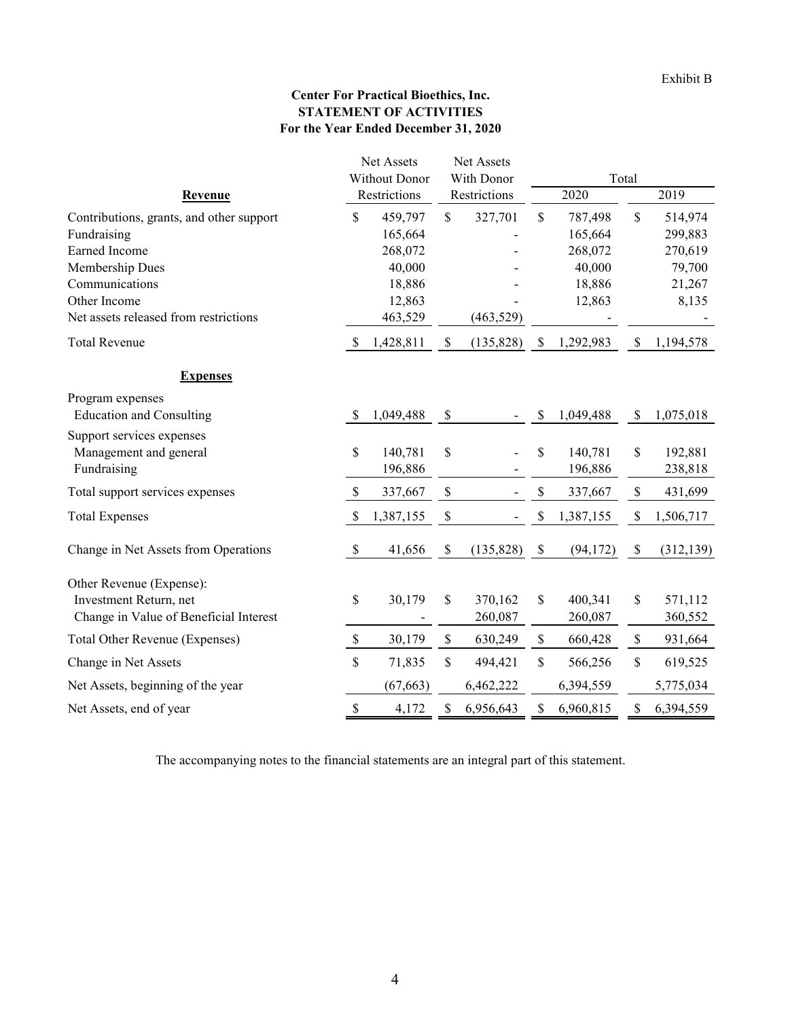### **Center For Practical Bioethics, Inc. STATEMENT OF ACTIVITIES For the Year Ended December 31, 2020**

|                                                                                                                                                                        |              | Net Assets<br><b>Without Donor</b>                                     |               | Net Assets<br>With Donor |                           | Total                                                       |               |                                                            |
|------------------------------------------------------------------------------------------------------------------------------------------------------------------------|--------------|------------------------------------------------------------------------|---------------|--------------------------|---------------------------|-------------------------------------------------------------|---------------|------------------------------------------------------------|
| Revenue                                                                                                                                                                |              | Restrictions                                                           |               | Restrictions             |                           | 2020                                                        |               | 2019                                                       |
| Contributions, grants, and other support<br>Fundraising<br>Earned Income<br>Membership Dues<br>Communications<br>Other Income<br>Net assets released from restrictions | \$           | 459,797<br>165,664<br>268,072<br>40,000<br>18,886<br>12,863<br>463,529 | $\mathbb{S}$  | 327,701<br>(463, 529)    | \$                        | 787,498<br>165,664<br>268,072<br>40,000<br>18,886<br>12,863 | $\mathcal{S}$ | 514,974<br>299,883<br>270,619<br>79,700<br>21,267<br>8,135 |
| <b>Total Revenue</b>                                                                                                                                                   | \$           | 1,428,811                                                              | $\mathcal{S}$ | (135, 828)               | $\mathcal{S}$             | 1,292,983                                                   | $\mathcal{S}$ | 1,194,578                                                  |
| <b>Expenses</b>                                                                                                                                                        |              |                                                                        |               |                          |                           |                                                             |               |                                                            |
| Program expenses<br><b>Education and Consulting</b>                                                                                                                    | -S           | 1,049,488                                                              | \$            |                          | \$                        | 1,049,488                                                   | \$            | 1,075,018                                                  |
| Support services expenses<br>Management and general<br>Fundraising                                                                                                     | \$           | 140,781<br>196,886                                                     | \$            |                          | \$                        | 140,781<br>196,886                                          | \$            | 192,881<br>238,818                                         |
| Total support services expenses                                                                                                                                        | \$           | 337,667                                                                | $\mathbb{S}$  |                          | \$                        | 337,667                                                     | $\mathcal{S}$ | 431,699                                                    |
| <b>Total Expenses</b>                                                                                                                                                  | $\mathbb{S}$ | 1,387,155                                                              | $\mathbb{S}$  |                          | \$                        | 1,387,155                                                   | \$            | 1,506,717                                                  |
| Change in Net Assets from Operations                                                                                                                                   | $\mathbb{S}$ | 41,656                                                                 | $\mathcal{S}$ | (135, 828)               | $\$$                      | (94, 172)                                                   | $\$$          | (312, 139)                                                 |
| Other Revenue (Expense):<br>Investment Return, net<br>Change in Value of Beneficial Interest                                                                           | \$           | 30,179                                                                 | \$            | 370,162<br>260,087       | \$                        | 400,341<br>260,087                                          | $\mathcal{S}$ | 571,112<br>360,552                                         |
| <b>Total Other Revenue (Expenses)</b>                                                                                                                                  | $\mathbb{S}$ | 30,179                                                                 | $\mathbb S$   | 630,249                  | $\boldsymbol{\mathsf{S}}$ | 660,428                                                     | \$            | 931,664                                                    |
| Change in Net Assets                                                                                                                                                   | \$           | 71,835                                                                 | \$            | 494,421                  | \$                        | 566,256                                                     | \$            | 619,525                                                    |
| Net Assets, beginning of the year                                                                                                                                      |              | (67, 663)                                                              |               | 6,462,222                |                           | 6,394,559                                                   |               | 5,775,034                                                  |
| Net Assets, end of year                                                                                                                                                | $\mathbb{S}$ | 4,172                                                                  | $\mathcal{S}$ | 6,956,643                | \$                        | 6,960,815                                                   | $\mathbb{S}$  | 6,394,559                                                  |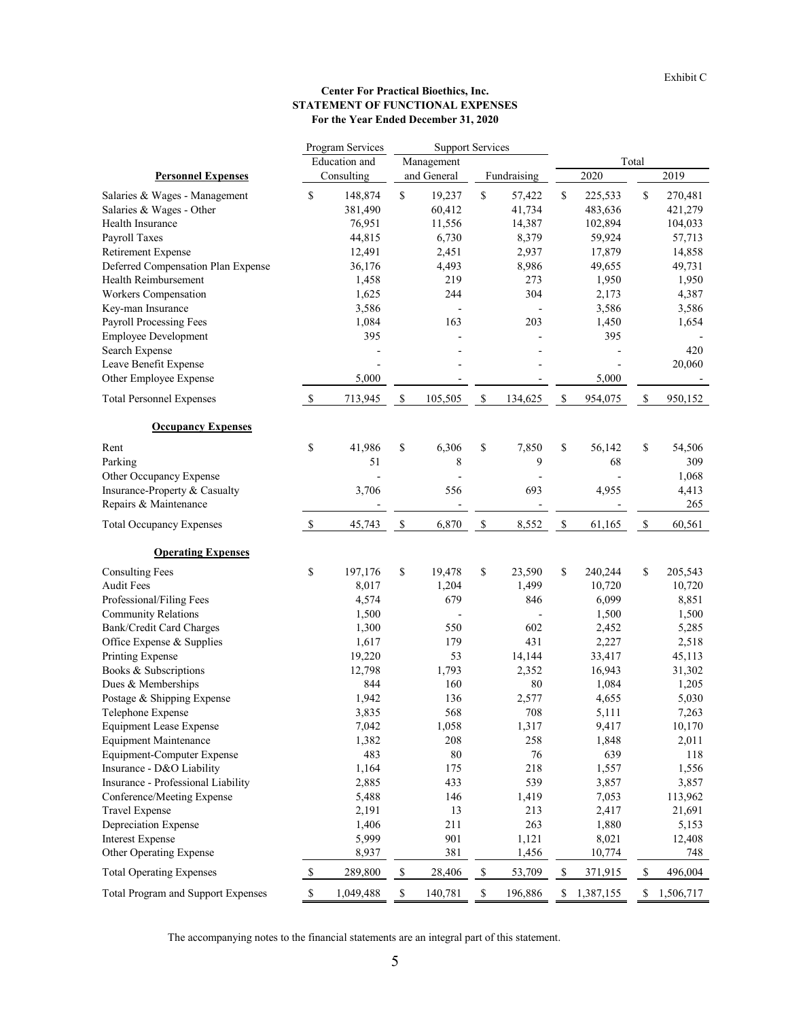#### **Center For Practical Bioethics, Inc. STATEMENT OF FUNCTIONAL EXPENSES For the Year Ended December 31, 2020**

|                                    |                           | Program Services | <b>Support Services</b> |                          |                                             |                          |                                   |             |             |             |
|------------------------------------|---------------------------|------------------|-------------------------|--------------------------|---------------------------------------------|--------------------------|-----------------------------------|-------------|-------------|-------------|
| Education and                      |                           | Management       |                         |                          |                                             | Total                    |                                   |             |             |             |
| <b>Personnel Expenses</b>          |                           | Consulting       |                         | and General              |                                             | Fundraising              |                                   | 2020        |             | 2019        |
| Salaries & Wages - Management      | \$                        | 148,874          | \$                      | 19,237                   | \$                                          | 57,422                   | $\mathbb{S}$                      | 225,533     | \$          | 270,481     |
| Salaries & Wages - Other           |                           | 381,490          |                         | 60,412                   |                                             | 41,734                   |                                   | 483,636     |             | 421,279     |
| Health Insurance                   |                           | 76,951           |                         | 11,556                   |                                             | 14,387                   |                                   | 102,894     |             | 104,033     |
| Payroll Taxes                      |                           | 44,815           |                         | 6,730                    |                                             | 8,379                    |                                   | 59,924      |             | 57,713      |
| Retirement Expense                 |                           | 12,491           |                         | 2,451                    |                                             | 2,937                    |                                   | 17,879      |             | 14,858      |
| Deferred Compensation Plan Expense |                           | 36,176           |                         | 4,493                    |                                             | 8,986                    |                                   | 49,655      |             | 49,731      |
| Health Reimbursement               |                           | 1,458            |                         | 219                      |                                             | 273                      |                                   | 1,950       |             | 1,950       |
| Workers Compensation               |                           | 1,625            |                         | 244                      |                                             | 304                      |                                   | 2,173       |             | 4,387       |
| Key-man Insurance                  |                           | 3,586            |                         |                          |                                             |                          |                                   | 3,586       |             | 3,586       |
| Payroll Processing Fees            |                           | 1,084            |                         | 163                      |                                             | 203                      |                                   | 1,450       |             | 1,654       |
| <b>Employee Development</b>        |                           | 395              |                         |                          |                                             |                          |                                   | 395         |             |             |
| Search Expense                     |                           |                  |                         |                          |                                             |                          |                                   |             |             | 420         |
| Leave Benefit Expense              |                           |                  |                         |                          |                                             |                          |                                   |             |             | 20,060      |
| Other Employee Expense             |                           | 5,000            |                         |                          |                                             |                          |                                   | 5,000       |             |             |
| <b>Total Personnel Expenses</b>    | $\mathbb{S}$              | 713,945          | \$                      | 105,505                  | \$                                          | 134,625                  | \$                                | 954,075     | \$          | 950,152     |
| <b>Occupancy Expenses</b>          |                           |                  |                         |                          |                                             |                          |                                   |             |             |             |
| Rent                               | \$                        | 41,986           | \$                      | 6,306                    | \$                                          | 7,850                    | \$                                | 56,142      | \$          | 54,506      |
| Parking                            |                           | 51               |                         | 8                        |                                             | 9                        |                                   | 68          |             | 309         |
| Other Occupancy Expense            |                           | $\overline{a}$   |                         | $\overline{\phantom{a}}$ |                                             | $\overline{\phantom{a}}$ |                                   |             |             | 1,068       |
| Insurance-Property & Casualty      |                           | 3,706            |                         | 556                      |                                             | 693                      |                                   | 4,955       |             | 4,413       |
| Repairs & Maintenance              |                           |                  |                         |                          |                                             |                          |                                   |             |             | 265         |
| <b>Total Occupancy Expenses</b>    | $\mathbb{S}$              | 45,743           | \$                      | 6,870                    | $\mathbb{S}% _{n}^{X\rightarrow\mathbb{R}}$ | 8,552                    | $\mathbb{S}% _{t}\left( t\right)$ | 61,165      | \$          | 60,561      |
|                                    |                           |                  |                         |                          |                                             |                          |                                   |             |             |             |
| <b>Operating Expenses</b>          |                           |                  |                         |                          |                                             |                          |                                   |             |             |             |
| <b>Consulting Fees</b>             | \$                        | 197,176          | \$                      | 19,478                   | \$                                          | 23,590                   | \$                                | 240,244     | \$          | 205,543     |
| <b>Audit Fees</b>                  |                           | 8,017            |                         | 1,204                    |                                             | 1,499                    |                                   | 10,720      |             | 10,720      |
| Professional/Filing Fees           |                           | 4,574            |                         | 679                      |                                             | 846                      |                                   | 6,099       |             | 8,851       |
| <b>Community Relations</b>         |                           | 1,500            |                         |                          |                                             |                          |                                   | 1,500       |             | 1,500       |
| Bank/Credit Card Charges           |                           | 1,300            |                         | 550                      |                                             | 602                      |                                   | 2,452       |             | 5,285       |
| Office Expense & Supplies          |                           | 1,617            |                         | 179                      |                                             | 431                      |                                   | 2,227       |             | 2,518       |
| Printing Expense                   |                           | 19,220           |                         | 53                       |                                             | 14,144                   |                                   | 33,417      |             | 45,113      |
| Books & Subscriptions              |                           | 12,798           |                         | 1,793                    |                                             | 2,352                    |                                   | 16,943      |             | 31,302      |
| Dues & Memberships                 |                           | 844              |                         | 160                      |                                             | 80                       |                                   | 1,084       |             | 1,205       |
| Postage & Shipping Expense         |                           | 1,942            |                         | 136                      |                                             | 2,577                    |                                   | 4,655       |             | 5,030       |
| Telephone Expense                  |                           | 3,835            |                         | 568                      |                                             | 708                      |                                   | 5,111       |             | 7,263       |
| <b>Equipment Lease Expense</b>     |                           | 7,042            |                         | 1,058                    |                                             | 1,317                    |                                   | 9,417       |             | 10,170      |
| <b>Equipment Maintenance</b>       |                           | 1,382            |                         | 208                      |                                             | 258                      |                                   | 1,848       |             | 2,011       |
| Equipment-Computer Expense         |                           | 483              |                         | 80                       |                                             | 76                       |                                   | 639         |             | 118         |
| Insurance - D&O Liability          |                           | 1,164            |                         | 175                      |                                             | 218                      |                                   | 1,557       |             | 1,556       |
| Insurance - Professional Liability |                           | 2,885            |                         | 433                      |                                             | 539                      |                                   | 3,857       |             | 3,857       |
| Conference/Meeting Expense         |                           | 5,488            |                         | 146                      |                                             | 1,419                    |                                   | 7,053       |             | 113,962     |
| <b>Travel Expense</b>              |                           | 2,191            |                         | 13                       |                                             | 213                      |                                   | 2,417       |             | 21,691      |
| Depreciation Expense               |                           | 1,406            |                         | 211                      |                                             | 263                      |                                   | 1,880       |             | 5,153       |
| <b>Interest Expense</b>            |                           | 5,999            |                         | 901                      |                                             | 1,121                    |                                   | 8,021       |             | 12,408      |
| Other Operating Expense            |                           | 8,937            |                         | 381                      |                                             | 1,456                    |                                   | 10,774      |             | 748         |
| <b>Total Operating Expenses</b>    | $\boldsymbol{\mathsf{S}}$ | 289,800          | \$                      | 28,406                   | $\mathbb{S}$                                | 53,709                   | \$                                | 371,915     | $\mathbb S$ | 496,004     |
| Total Program and Support Expenses | \$                        | 1,049,488        | \$                      | 140,781                  | \$                                          | 196,886                  |                                   | \$1,387,155 |             | \$1,506,717 |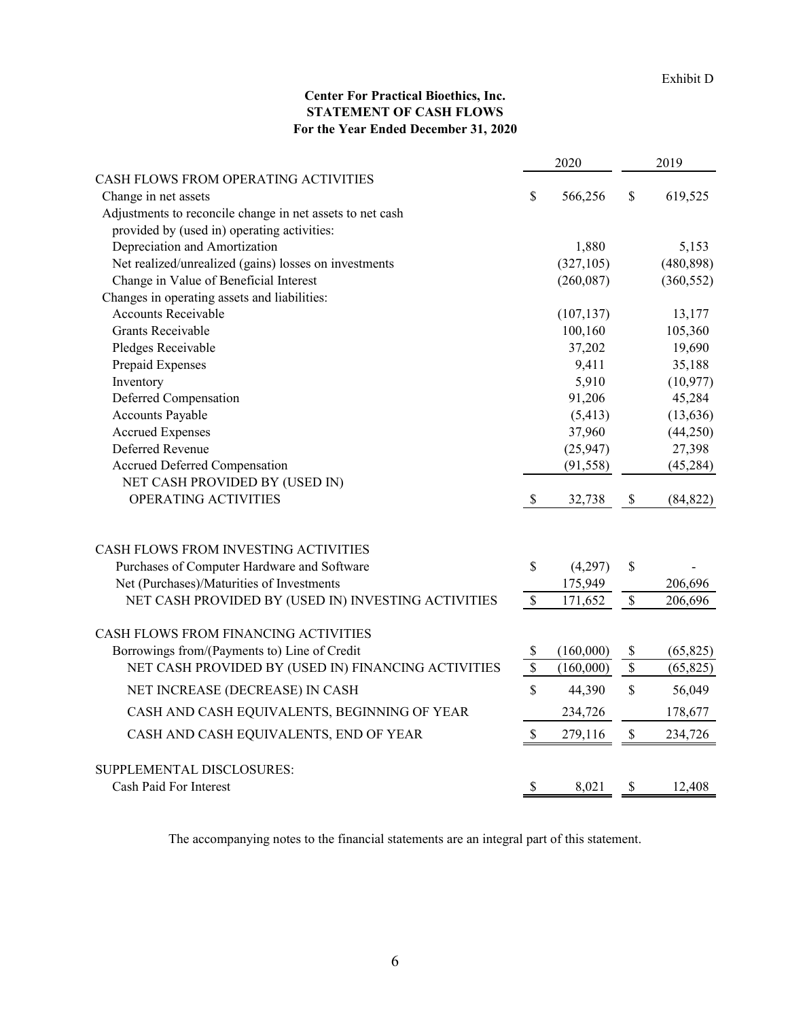### **Center For Practical Bioethics, Inc. STATEMENT OF CASH FLOWS For the Year Ended December 31, 2020**

|                                                           |                           | 2020       |               | 2019       |
|-----------------------------------------------------------|---------------------------|------------|---------------|------------|
| CASH FLOWS FROM OPERATING ACTIVITIES                      |                           |            |               |            |
| Change in net assets                                      | \$                        | 566,256    | $\mathbb{S}$  | 619,525    |
| Adjustments to reconcile change in net assets to net cash |                           |            |               |            |
| provided by (used in) operating activities:               |                           |            |               |            |
| Depreciation and Amortization                             |                           | 1,880      |               | 5,153      |
| Net realized/unrealized (gains) losses on investments     |                           | (327, 105) |               | (480, 898) |
| Change in Value of Beneficial Interest                    |                           | (260,087)  |               | (360, 552) |
| Changes in operating assets and liabilities:              |                           |            |               |            |
| <b>Accounts Receivable</b>                                |                           | (107, 137) |               | 13,177     |
| <b>Grants Receivable</b>                                  |                           | 100,160    |               | 105,360    |
| Pledges Receivable                                        |                           | 37,202     |               | 19,690     |
| Prepaid Expenses                                          |                           | 9,411      |               | 35,188     |
| Inventory                                                 |                           | 5,910      |               | (10, 977)  |
| Deferred Compensation                                     |                           | 91,206     |               | 45,284     |
| <b>Accounts Payable</b>                                   |                           | (5, 413)   |               | (13, 636)  |
| <b>Accrued Expenses</b>                                   |                           | 37,960     |               | (44,250)   |
| Deferred Revenue                                          |                           | (25, 947)  |               | 27,398     |
| Accrued Deferred Compensation                             |                           | (91, 558)  |               | (45, 284)  |
| NET CASH PROVIDED BY (USED IN)                            |                           |            |               |            |
| OPERATING ACTIVITIES                                      | $\boldsymbol{\mathsf{S}}$ | 32,738     | $\mathbb S$   | (84, 822)  |
| CASH FLOWS FROM INVESTING ACTIVITIES                      |                           |            |               |            |
|                                                           |                           |            |               |            |
| Purchases of Computer Hardware and Software               | \$                        | (4,297)    | \$            |            |
| Net (Purchases)/Maturities of Investments                 |                           | 175,949    |               | 206,696    |
| NET CASH PROVIDED BY (USED IN) INVESTING ACTIVITIES       | $\$$                      | 171,652    | $\mathcal{S}$ | 206,696    |
| CASH FLOWS FROM FINANCING ACTIVITIES                      |                           |            |               |            |
| Borrowings from/(Payments to) Line of Credit              | \$                        | (160,000)  | \$            | (65, 825)  |
| NET CASH PROVIDED BY (USED IN) FINANCING ACTIVITIES       | $\overline{\mathcal{S}}$  | (160,000)  | $\mathbb{S}$  | (65, 825)  |
| NET INCREASE (DECREASE) IN CASH                           | $\mathbb{S}$              | 44,390     | $\mathbb{S}$  | 56,049     |
| CASH AND CASH EQUIVALENTS, BEGINNING OF YEAR              |                           | 234,726    |               | 178,677    |
| CASH AND CASH EQUIVALENTS, END OF YEAR                    | \$                        | 279,116    | $\mathcal{S}$ | 234,726    |
| SUPPLEMENTAL DISCLOSURES:                                 |                           |            |               |            |
| Cash Paid For Interest                                    | \$                        | 8,021      | \$            | 12,408     |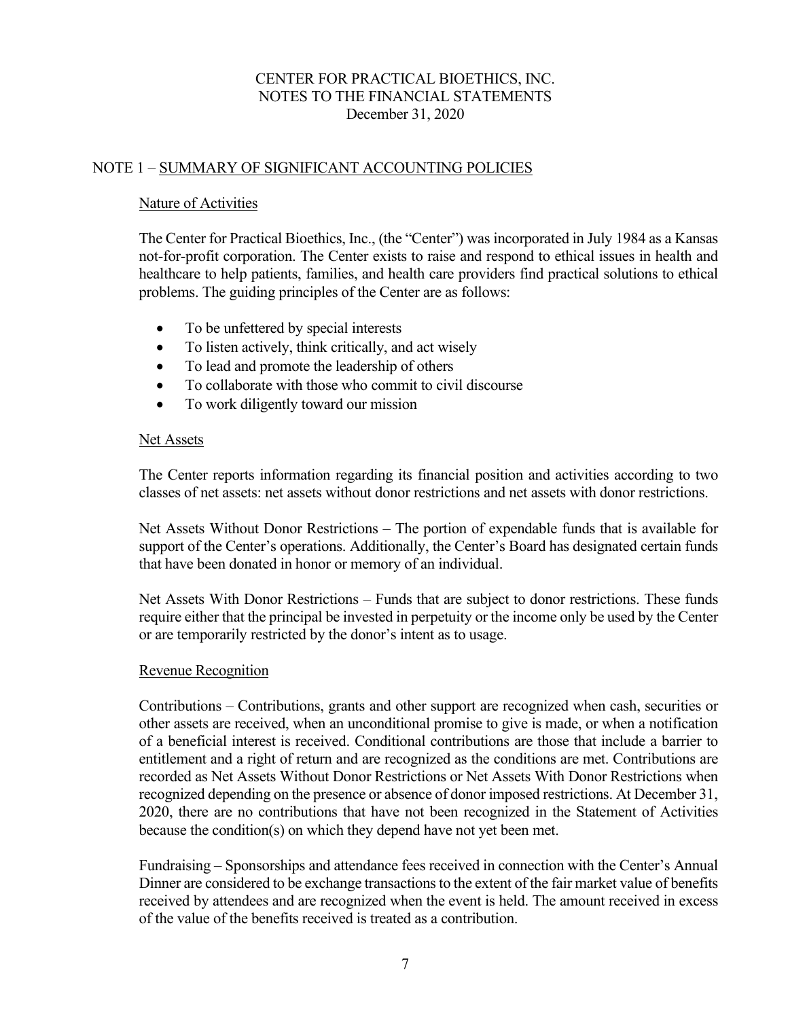# CENTER FOR PRACTICAL BIOETHICS, INC. NOTES TO THE FINANCIAL STATEMENTS December 31, 2020

# NOTE 1 – SUMMARY OF SIGNIFICANT ACCOUNTING POLICIES

### Nature of Activities

The Center for Practical Bioethics, Inc., (the "Center") was incorporated in July 1984 as a Kansas not-for-profit corporation. The Center exists to raise and respond to ethical issues in health and healthcare to help patients, families, and health care providers find practical solutions to ethical problems. The guiding principles of the Center are as follows:

- To be unfettered by special interests
- To listen actively, think critically, and act wisely
- To lead and promote the leadership of others
- To collaborate with those who commit to civil discourse
- To work diligently toward our mission

#### Net Assets

The Center reports information regarding its financial position and activities according to two classes of net assets: net assets without donor restrictions and net assets with donor restrictions.

Net Assets Without Donor Restrictions – The portion of expendable funds that is available for support of the Center's operations. Additionally, the Center's Board has designated certain funds that have been donated in honor or memory of an individual.

Net Assets With Donor Restrictions – Funds that are subject to donor restrictions. These funds require either that the principal be invested in perpetuity or the income only be used by the Center or are temporarily restricted by the donor's intent as to usage.

#### Revenue Recognition

Contributions – Contributions, grants and other support are recognized when cash, securities or other assets are received, when an unconditional promise to give is made, or when a notification of a beneficial interest is received. Conditional contributions are those that include a barrier to entitlement and a right of return and are recognized as the conditions are met. Contributions are recorded as Net Assets Without Donor Restrictions or Net Assets With Donor Restrictions when recognized depending on the presence or absence of donor imposed restrictions. At December 31, 2020, there are no contributions that have not been recognized in the Statement of Activities because the condition(s) on which they depend have not yet been met.

Fundraising – Sponsorships and attendance fees received in connection with the Center's Annual Dinner are considered to be exchange transactions to the extent of the fair market value of benefits received by attendees and are recognized when the event is held. The amount received in excess of the value of the benefits received is treated as a contribution.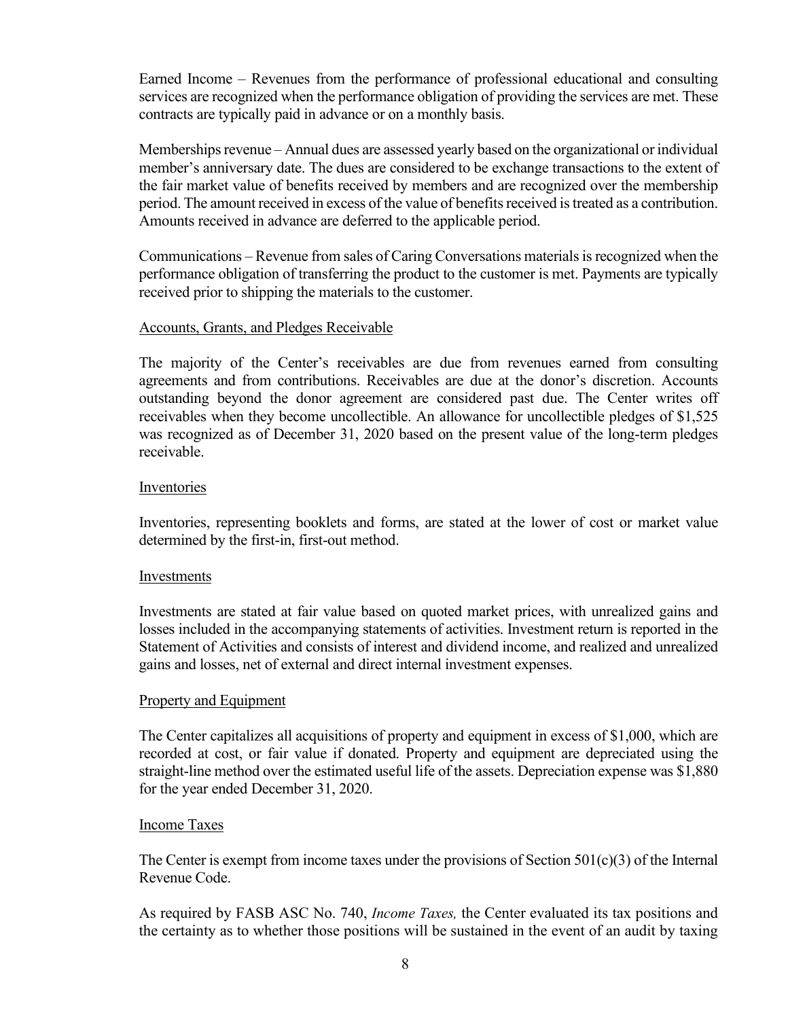Earned Income – Revenues from the performance of professional educational and consulting services are recognized when the performance obligation of providing the services are met. These contracts are typically paid in advance or on a monthly basis.

Memberships revenue – Annual dues are assessed yearly based on the organizational or individual member's anniversary date. The dues are considered to be exchange transactions to the extent of the fair market value of benefits received by members and are recognized over the membership period. The amount received in excess of the value of benefits received is treated as a contribution. Amounts received in advance are deferred to the applicable period.

Communications – Revenue from sales of Caring Conversations materials is recognized when the performance obligation of transferring the product to the customer is met. Payments are typically received prior to shipping the materials to the customer.

#### Accounts, Grants, and Pledges Receivable

The majority of the Center's receivables are due from revenues earned from consulting agreements and from contributions. Receivables are due at the donor's discretion. Accounts outstanding beyond the donor agreement are considered past due. The Center writes off receivables when they become uncollectible. An allowance for uncollectible pledges of \$1,525 was recognized as of December 31, 2020 based on the present value of the long-term pledges receivable.

#### Inventories

Inventories, representing booklets and forms, are stated at the lower of cost or market value determined by the first-in, first-out method.

#### Investments

Investments are stated at fair value based on quoted market prices, with unrealized gains and losses included in the accompanying statements of activities. Investment return is reported in the Statement of Activities and consists of interest and dividend income, and realized and unrealized gains and losses, net of external and direct internal investment expenses.

### Property and Equipment

The Center capitalizes all acquisitions of property and equipment in excess of \$1,000, which are recorded at cost, or fair value if donated. Property and equipment are depreciated using the straight-line method over the estimated useful life of the assets. Depreciation expense was \$1,880 for the year ended December 31, 2020.

### Income Taxes

The Center is exempt from income taxes under the provisions of Section 501(c)(3) of the Internal Revenue Code.

As required by FASB ASC No. 740, *Income Taxes,* the Center evaluated its tax positions and the certainty as to whether those positions will be sustained in the event of an audit by taxing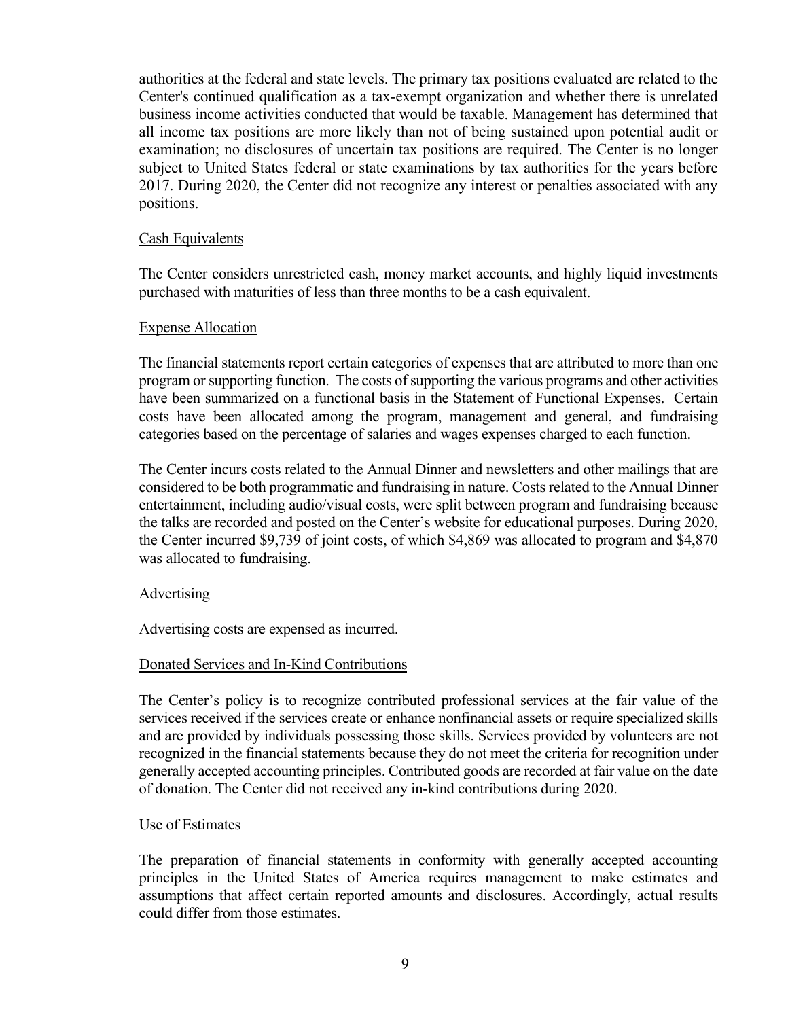authorities at the federal and state levels. The primary tax positions evaluated are related to the Center's continued qualification as a tax-exempt organization and whether there is unrelated business income activities conducted that would be taxable. Management has determined that all income tax positions are more likely than not of being sustained upon potential audit or examination; no disclosures of uncertain tax positions are required. The Center is no longer subject to United States federal or state examinations by tax authorities for the years before 2017. During 2020, the Center did not recognize any interest or penalties associated with any positions.

#### Cash Equivalents

The Center considers unrestricted cash, money market accounts, and highly liquid investments purchased with maturities of less than three months to be a cash equivalent.

#### Expense Allocation

The financial statements report certain categories of expenses that are attributed to more than one program or supporting function. The costs of supporting the various programs and other activities have been summarized on a functional basis in the Statement of Functional Expenses. Certain costs have been allocated among the program, management and general, and fundraising categories based on the percentage of salaries and wages expenses charged to each function.

The Center incurs costs related to the Annual Dinner and newsletters and other mailings that are considered to be both programmatic and fundraising in nature. Costs related to the Annual Dinner entertainment, including audio/visual costs, were split between program and fundraising because the talks are recorded and posted on the Center's website for educational purposes. During 2020, the Center incurred \$9,739 of joint costs, of which \$4,869 was allocated to program and \$4,870 was allocated to fundraising.

### Advertising

Advertising costs are expensed as incurred.

### Donated Services and In-Kind Contributions

The Center's policy is to recognize contributed professional services at the fair value of the services received if the services create or enhance nonfinancial assets or require specialized skills and are provided by individuals possessing those skills. Services provided by volunteers are not recognized in the financial statements because they do not meet the criteria for recognition under generally accepted accounting principles. Contributed goods are recorded at fair value on the date of donation. The Center did not received any in-kind contributions during 2020.

### Use of Estimates

The preparation of financial statements in conformity with generally accepted accounting principles in the United States of America requires management to make estimates and assumptions that affect certain reported amounts and disclosures. Accordingly, actual results could differ from those estimates.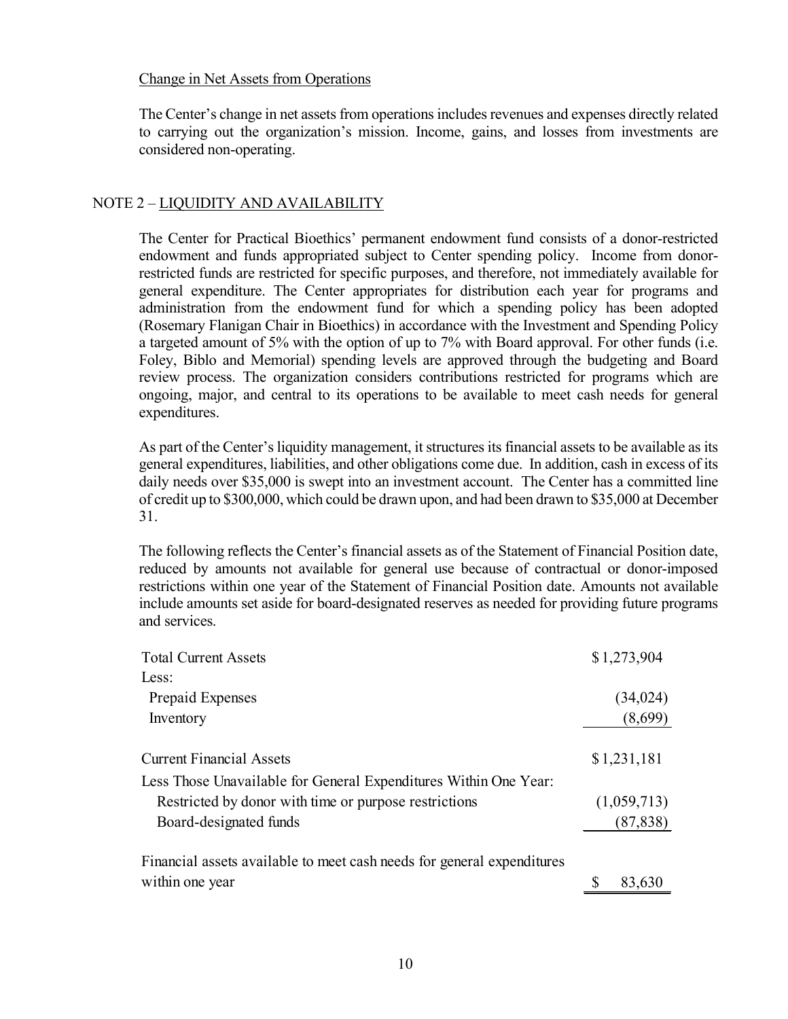#### Change in Net Assets from Operations

The Center's change in net assets from operations includes revenues and expenses directly related to carrying out the organization's mission. Income, gains, and losses from investments are considered non-operating.

# NOTE 2 – LIQUIDITY AND AVAILABILITY

The Center for Practical Bioethics' permanent endowment fund consists of a donor-restricted endowment and funds appropriated subject to Center spending policy. Income from donorrestricted funds are restricted for specific purposes, and therefore, not immediately available for general expenditure. The Center appropriates for distribution each year for programs and administration from the endowment fund for which a spending policy has been adopted (Rosemary Flanigan Chair in Bioethics) in accordance with the Investment and Spending Policy a targeted amount of 5% with the option of up to 7% with Board approval. For other funds (i.e. Foley, Biblo and Memorial) spending levels are approved through the budgeting and Board review process. The organization considers contributions restricted for programs which are ongoing, major, and central to its operations to be available to meet cash needs for general expenditures.

As part of the Center's liquidity management, it structures its financial assets to be available as its general expenditures, liabilities, and other obligations come due. In addition, cash in excess of its daily needs over \$35,000 is swept into an investment account. The Center has a committed line of credit up to \$300,000, which could be drawn upon, and had been drawn to \$35,000 at December 31.

The following reflects the Center's financial assets as of the Statement of Financial Position date, reduced by amounts not available for general use because of contractual or donor-imposed restrictions within one year of the Statement of Financial Position date. Amounts not available include amounts set aside for board-designated reserves as needed for providing future programs and services.

| <b>Total Current Assets</b>                                            | \$1,273,904 |
|------------------------------------------------------------------------|-------------|
| Less:                                                                  |             |
| Prepaid Expenses                                                       | (34, 024)   |
| Inventory                                                              | (8,699)     |
|                                                                        |             |
| <b>Current Financial Assets</b>                                        | \$1,231,181 |
| Less Those Unavailable for General Expenditures Within One Year:       |             |
| Restricted by donor with time or purpose restrictions                  | (1,059,713) |
| Board-designated funds                                                 | (87, 838)   |
|                                                                        |             |
| Financial assets available to meet cash needs for general expenditures |             |
| within one year                                                        | 83,630      |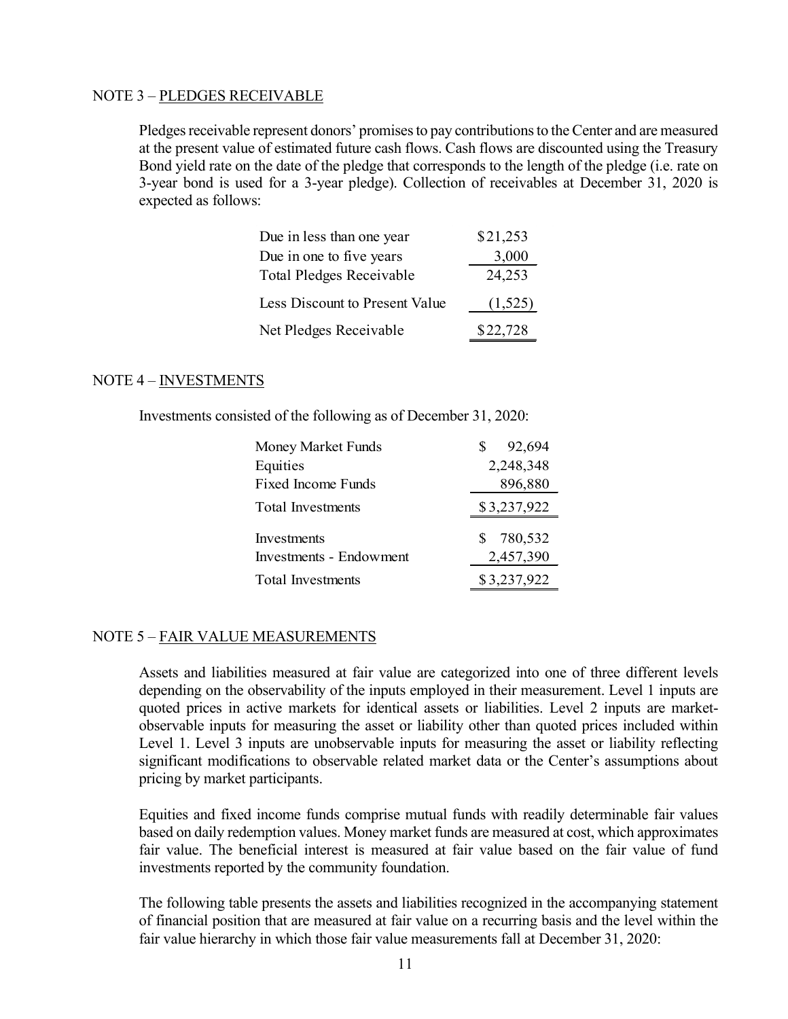### NOTE 3 – PLEDGES RECEIVABLE

Pledges receivable represent donors' promises to pay contributions to the Center and are measured at the present value of estimated future cash flows. Cash flows are discounted using the Treasury Bond yield rate on the date of the pledge that corresponds to the length of the pledge (i.e. rate on 3-year bond is used for a 3-year pledge). Collection of receivables at December 31, 2020 is expected as follows:

| Due in less than one year      | \$21,253 |
|--------------------------------|----------|
| Due in one to five years       | 3,000    |
| Total Pledges Receivable       | 24,253   |
| Less Discount to Present Value | (1,525)  |
| Net Pledges Receivable         | \$22,728 |

# NOTE 4 – INVESTMENTS

Investments consisted of the following as of December 31, 2020:

| Money Market Funds                     | 92,694                     |
|----------------------------------------|----------------------------|
| Equities                               | 2,248,348                  |
| Fixed Income Funds                     | 896,880                    |
| <b>Total Investments</b>               | \$3,237,922                |
| Investments<br>Investments - Endowment | 780,532<br>S.<br>2,457,390 |
| <b>Total Investments</b>               | \$3,237,922                |

### NOTE 5 – FAIR VALUE MEASUREMENTS

Assets and liabilities measured at fair value are categorized into one of three different levels depending on the observability of the inputs employed in their measurement. Level 1 inputs are quoted prices in active markets for identical assets or liabilities. Level 2 inputs are marketobservable inputs for measuring the asset or liability other than quoted prices included within Level 1. Level 3 inputs are unobservable inputs for measuring the asset or liability reflecting significant modifications to observable related market data or the Center's assumptions about pricing by market participants.

Equities and fixed income funds comprise mutual funds with readily determinable fair values based on daily redemption values. Money market funds are measured at cost, which approximates fair value. The beneficial interest is measured at fair value based on the fair value of fund investments reported by the community foundation.

The following table presents the assets and liabilities recognized in the accompanying statement of financial position that are measured at fair value on a recurring basis and the level within the fair value hierarchy in which those fair value measurements fall at December 31, 2020: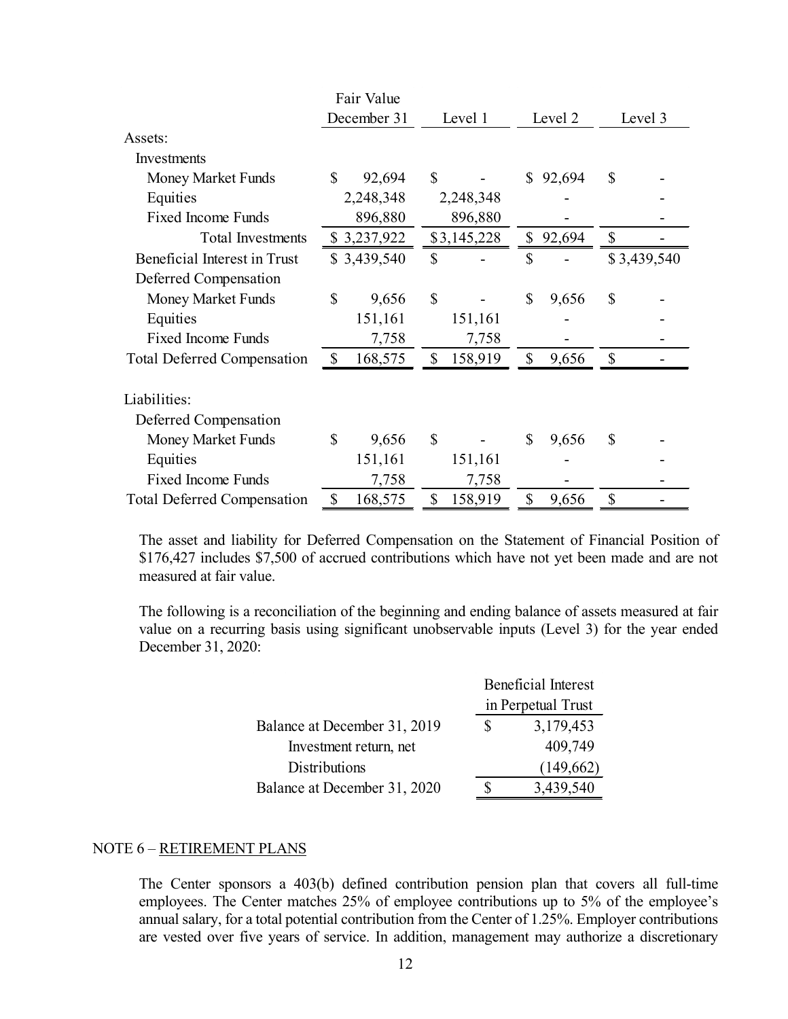|                                    |               | Fair Value             |              |             |              |        |         |             |
|------------------------------------|---------------|------------------------|--------------|-------------|--------------|--------|---------|-------------|
|                                    |               | December 31<br>Level 1 |              |             | Level 2      |        | Level 3 |             |
| Assets:                            |               |                        |              |             |              |        |         |             |
| Investments                        |               |                        |              |             |              |        |         |             |
| Money Market Funds                 | $\mathbb{S}$  | 92,694                 | \$           |             | \$           | 92,694 | \$      |             |
| Equities                           |               | 2,248,348              |              | 2,248,348   |              |        |         |             |
| <b>Fixed Income Funds</b>          |               | 896,880                |              | 896,880     |              |        |         |             |
| <b>Total Investments</b>           |               | \$3,237,922            |              | \$3,145,228 | \$           | 92,694 | \$      |             |
| Beneficial Interest in Trust       |               | \$3,439,540            | \$           |             | \$           |        |         | \$3,439,540 |
| Deferred Compensation              |               |                        |              |             |              |        |         |             |
| Money Market Funds                 | $\mathcal{S}$ | 9,656                  | $\mathbb{S}$ |             | $\mathbb{S}$ | 9,656  | \$      |             |
| Equities                           |               | 151,161                |              | 151,161     |              |        |         |             |
| <b>Fixed Income Funds</b>          |               | 7,758                  |              | 7,758       |              |        |         |             |
| <b>Total Deferred Compensation</b> | $\mathbb{S}$  | 168,575                | \$           | 158,919     | \$           | 9,656  | \$      |             |
| Liabilities:                       |               |                        |              |             |              |        |         |             |
| Deferred Compensation              |               |                        |              |             |              |        |         |             |
| Money Market Funds                 | $\mathcal{S}$ | 9,656                  | \$           |             | $\mathbb{S}$ | 9,656  | \$      |             |
| Equities                           |               | 151,161                |              | 151,161     |              |        |         |             |
| <b>Fixed Income Funds</b>          |               | 7,758                  |              | 7,758       |              |        |         |             |
| <b>Total Deferred Compensation</b> | \$            | 168,575                | \$           | 158,919     | \$           | 9,656  | \$      |             |

The asset and liability for Deferred Compensation on the Statement of Financial Position of \$176,427 includes \$7,500 of accrued contributions which have not yet been made and are not measured at fair value.

The following is a reconciliation of the beginning and ending balance of assets measured at fair value on a recurring basis using significant unobservable inputs (Level 3) for the year ended December 31, 2020:

|                              | Beneficial Interest |           |  |  |
|------------------------------|---------------------|-----------|--|--|
|                              | in Perpetual Trust  |           |  |  |
| Balance at December 31, 2019 | S                   | 3,179,453 |  |  |
| Investment return, net       |                     | 409,749   |  |  |
| Distributions                |                     | (149,662) |  |  |
| Balance at December 31, 2020 | \$                  | 3,439,540 |  |  |

#### NOTE 6 – RETIREMENT PLANS

The Center sponsors a 403(b) defined contribution pension plan that covers all full-time employees. The Center matches 25% of employee contributions up to 5% of the employee's annual salary, for a total potential contribution from the Center of 1.25%. Employer contributions are vested over five years of service. In addition, management may authorize a discretionary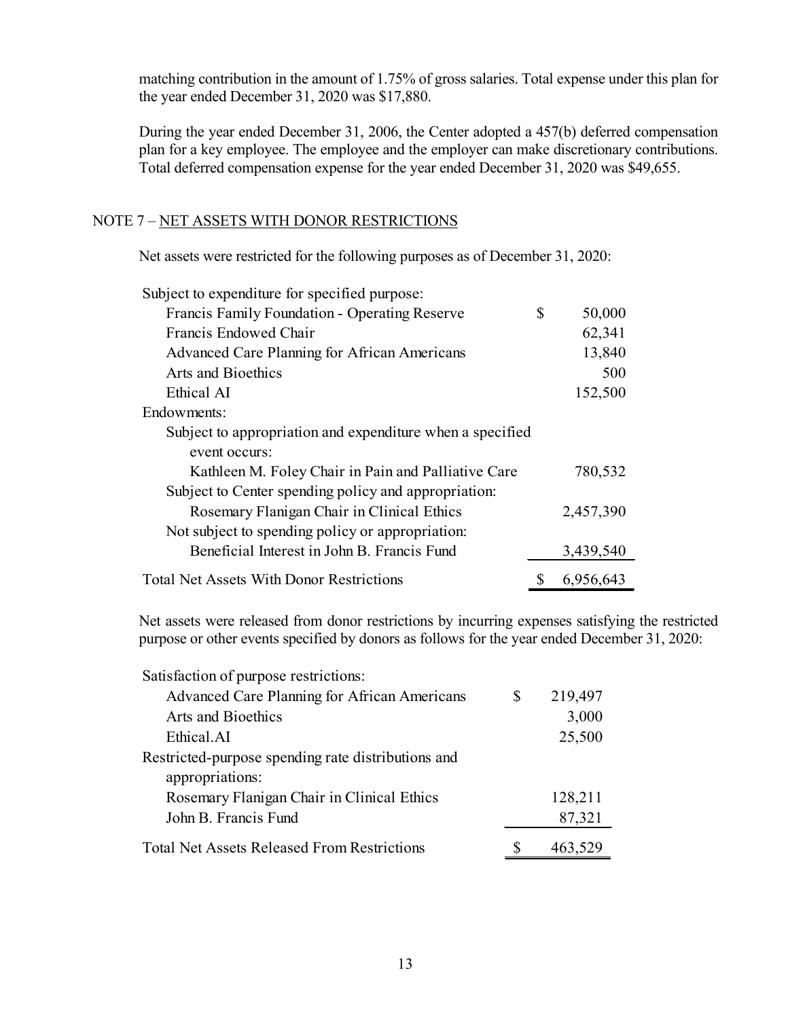matching contribution in the amount of 1.75% of gross salaries. Total expense under this plan for the year ended December 31, 2020 was \$17,880.

During the year ended December 31, 2006, the Center adopted a 457(b) deferred compensation plan for a key employee. The employee and the employer can make discretionary contributions. Total deferred compensation expense for the year ended December 31, 2020 was \$49,655.

#### NOTE 7 – NET ASSETS WITH DONOR RESTRICTIONS

Net assets were restricted for the following purposes as of December 31, 2020:

| Subject to expenditure for specified purpose:             |              |
|-----------------------------------------------------------|--------------|
| Francis Family Foundation - Operating Reserve             | \$<br>50,000 |
| Francis Endowed Chair                                     | 62,341       |
| Advanced Care Planning for African Americans              | 13,840       |
| Arts and Bioethics                                        | 500          |
| Ethical AI                                                | 152,500      |
| Endowments:                                               |              |
| Subject to appropriation and expenditure when a specified |              |
| event occurs:                                             |              |
| Kathleen M. Foley Chair in Pain and Palliative Care       | 780,532      |
| Subject to Center spending policy and appropriation:      |              |
| Rosemary Flanigan Chair in Clinical Ethics                | 2,457,390    |
| Not subject to spending policy or appropriation:          |              |
| Beneficial Interest in John B. Francis Fund               | 3,439,540    |
| <b>Total Net Assets With Donor Restrictions</b>           | 6,956,643    |

Net assets were released from donor restrictions by incurring expenses satisfying the restricted purpose or other events specified by donors as follows for the year ended December 31, 2020:

| Satisfaction of purpose restrictions:              |               |
|----------------------------------------------------|---------------|
| Advanced Care Planning for African Americans       | \$<br>219,497 |
| <b>Arts and Bioethics</b>                          | 3,000         |
| Ethical.AI                                         | 25,500        |
| Restricted-purpose spending rate distributions and |               |
| appropriations:                                    |               |
| Rosemary Flanigan Chair in Clinical Ethics         | 128,211       |
| John B. Francis Fund                               | 87,321        |
| <b>Total Net Assets Released From Restrictions</b> | 463,529       |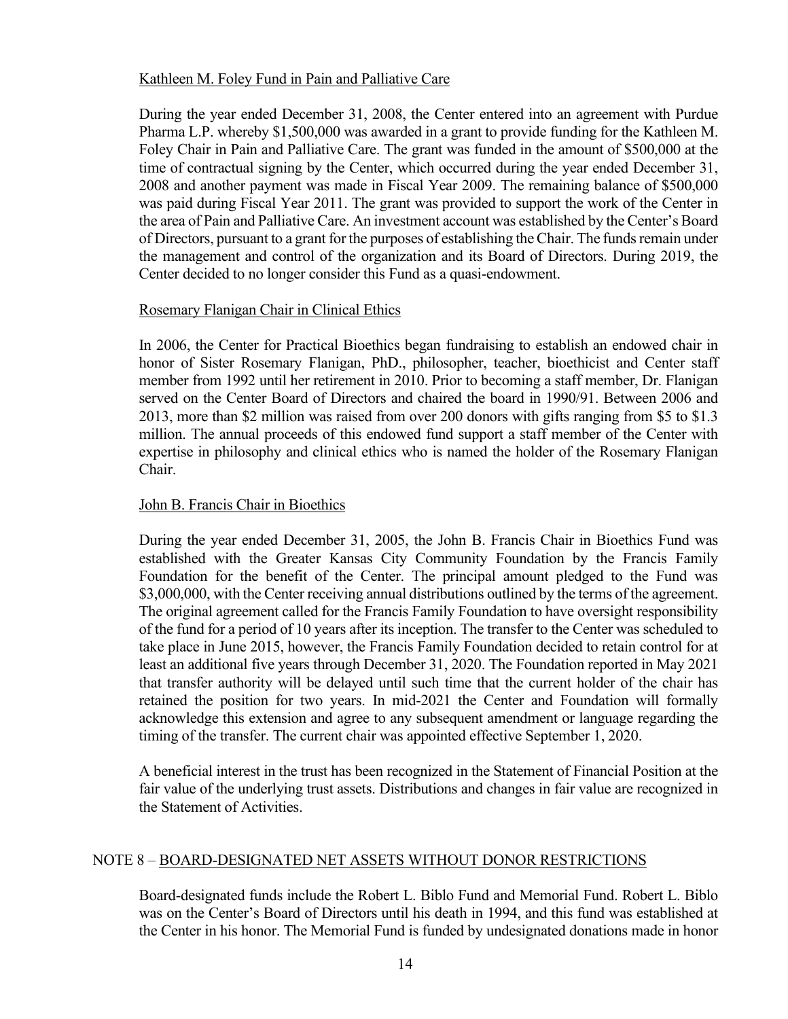#### Kathleen M. Foley Fund in Pain and Palliative Care

During the year ended December 31, 2008, the Center entered into an agreement with Purdue Pharma L.P. whereby \$1,500,000 was awarded in a grant to provide funding for the Kathleen M. Foley Chair in Pain and Palliative Care. The grant was funded in the amount of \$500,000 at the time of contractual signing by the Center, which occurred during the year ended December 31, 2008 and another payment was made in Fiscal Year 2009. The remaining balance of \$500,000 was paid during Fiscal Year 2011. The grant was provided to support the work of the Center in the area of Pain and Palliative Care. An investment account was established by the Center's Board of Directors, pursuant to a grant for the purposes of establishing the Chair. The funds remain under the management and control of the organization and its Board of Directors. During 2019, the Center decided to no longer consider this Fund as a quasi-endowment.

#### Rosemary Flanigan Chair in Clinical Ethics

In 2006, the Center for Practical Bioethics began fundraising to establish an endowed chair in honor of Sister Rosemary Flanigan, PhD., philosopher, teacher, bioethicist and Center staff member from 1992 until her retirement in 2010. Prior to becoming a staff member, Dr. Flanigan served on the Center Board of Directors and chaired the board in 1990/91. Between 2006 and 2013, more than \$2 million was raised from over 200 donors with gifts ranging from \$5 to \$1.3 million. The annual proceeds of this endowed fund support a staff member of the Center with expertise in philosophy and clinical ethics who is named the holder of the Rosemary Flanigan Chair.

#### John B. Francis Chair in Bioethics

During the year ended December 31, 2005, the John B. Francis Chair in Bioethics Fund was established with the Greater Kansas City Community Foundation by the Francis Family Foundation for the benefit of the Center. The principal amount pledged to the Fund was \$3,000,000, with the Center receiving annual distributions outlined by the terms of the agreement. The original agreement called for the Francis Family Foundation to have oversight responsibility of the fund for a period of 10 years after its inception. The transfer to the Center was scheduled to take place in June 2015, however, the Francis Family Foundation decided to retain control for at least an additional five years through December 31, 2020. The Foundation reported in May 2021 that transfer authority will be delayed until such time that the current holder of the chair has retained the position for two years. In mid-2021 the Center and Foundation will formally acknowledge this extension and agree to any subsequent amendment or language regarding the timing of the transfer. The current chair was appointed effective September 1, 2020.

A beneficial interest in the trust has been recognized in the Statement of Financial Position at the fair value of the underlying trust assets. Distributions and changes in fair value are recognized in the Statement of Activities.

### NOTE 8 – BOARD-DESIGNATED NET ASSETS WITHOUT DONOR RESTRICTIONS

Board-designated funds include the Robert L. Biblo Fund and Memorial Fund. Robert L. Biblo was on the Center's Board of Directors until his death in 1994, and this fund was established at the Center in his honor. The Memorial Fund is funded by undesignated donations made in honor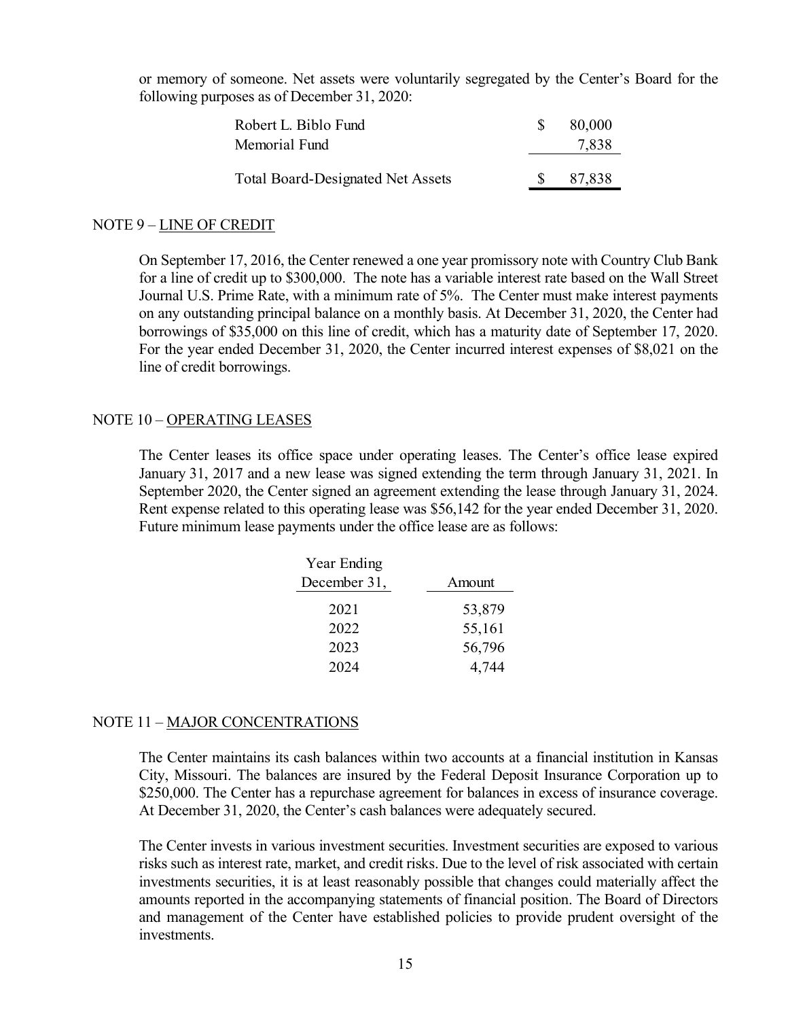or memory of someone. Net assets were voluntarily segregated by the Center's Board for the following purposes as of December 31, 2020:

| Robert L. Biblo Fund                     |              | 80,000 |
|------------------------------------------|--------------|--------|
| Memorial Fund                            |              | 7,838  |
|                                          |              |        |
| <b>Total Board-Designated Net Assets</b> | $\mathbf{s}$ | 87,838 |

#### NOTE 9 – LINE OF CREDIT

On September 17, 2016, the Center renewed a one year promissory note with Country Club Bank for a line of credit up to \$300,000. The note has a variable interest rate based on the Wall Street Journal U.S. Prime Rate, with a minimum rate of 5%. The Center must make interest payments on any outstanding principal balance on a monthly basis. At December 31, 2020, the Center had borrowings of \$35,000 on this line of credit, which has a maturity date of September 17, 2020. For the year ended December 31, 2020, the Center incurred interest expenses of \$8,021 on the line of credit borrowings.

#### NOTE 10 – OPERATING LEASES

The Center leases its office space under operating leases. The Center's office lease expired January 31, 2017 and a new lease was signed extending the term through January 31, 2021. In September 2020, the Center signed an agreement extending the lease through January 31, 2024. Rent expense related to this operating lease was \$56,142 for the year ended December 31, 2020. Future minimum lease payments under the office lease are as follows:

| Year Ending  |        |
|--------------|--------|
| December 31, | Amount |
| 2021         | 53,879 |
| 2022         | 55,161 |
| 2023         | 56,796 |
| 2024         | 4.744  |

#### NOTE 11 – MAJOR CONCENTRATIONS

The Center maintains its cash balances within two accounts at a financial institution in Kansas City, Missouri. The balances are insured by the Federal Deposit Insurance Corporation up to \$250,000. The Center has a repurchase agreement for balances in excess of insurance coverage. At December 31, 2020, the Center's cash balances were adequately secured.

The Center invests in various investment securities. Investment securities are exposed to various risks such as interest rate, market, and credit risks. Due to the level of risk associated with certain investments securities, it is at least reasonably possible that changes could materially affect the amounts reported in the accompanying statements of financial position. The Board of Directors and management of the Center have established policies to provide prudent oversight of the investments.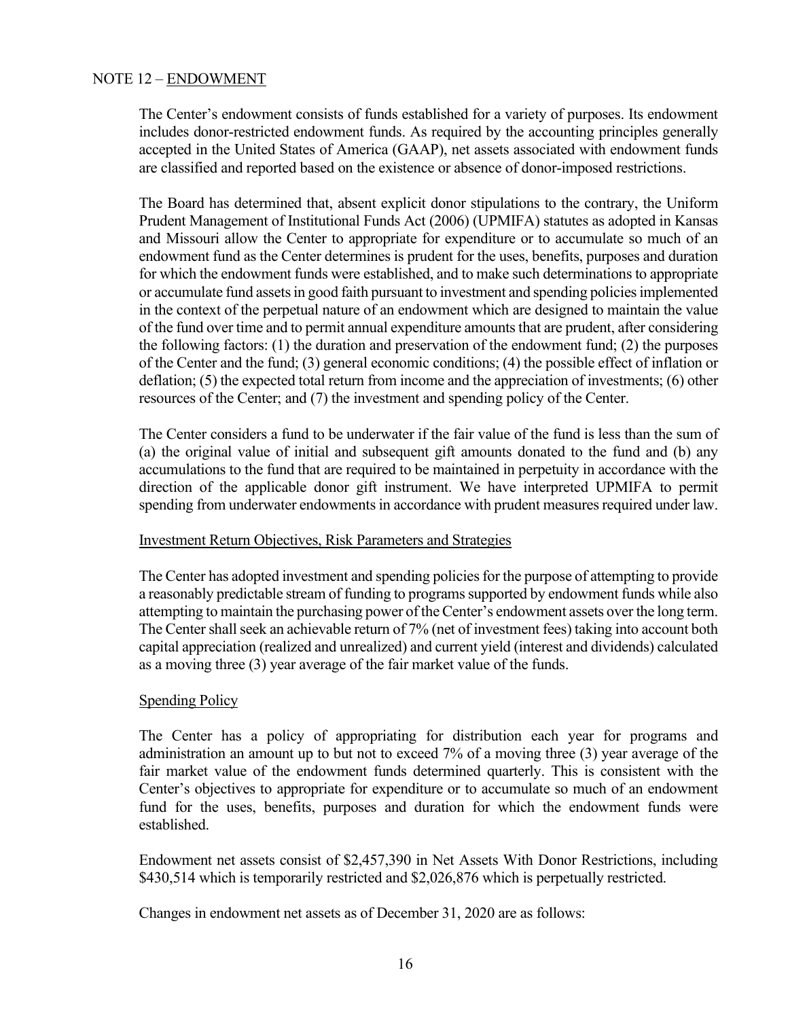# NOTE 12 – ENDOWMENT

The Center's endowment consists of funds established for a variety of purposes. Its endowment includes donor-restricted endowment funds. As required by the accounting principles generally accepted in the United States of America (GAAP), net assets associated with endowment funds are classified and reported based on the existence or absence of donor-imposed restrictions.

The Board has determined that, absent explicit donor stipulations to the contrary, the Uniform Prudent Management of Institutional Funds Act (2006) (UPMIFA) statutes as adopted in Kansas and Missouri allow the Center to appropriate for expenditure or to accumulate so much of an endowment fund as the Center determines is prudent for the uses, benefits, purposes and duration for which the endowment funds were established, and to make such determinations to appropriate or accumulate fund assets in good faith pursuant to investment and spending policies implemented in the context of the perpetual nature of an endowment which are designed to maintain the value of the fund over time and to permit annual expenditure amounts that are prudent, after considering the following factors: (1) the duration and preservation of the endowment fund; (2) the purposes of the Center and the fund; (3) general economic conditions; (4) the possible effect of inflation or deflation; (5) the expected total return from income and the appreciation of investments; (6) other resources of the Center; and (7) the investment and spending policy of the Center.

The Center considers a fund to be underwater if the fair value of the fund is less than the sum of (a) the original value of initial and subsequent gift amounts donated to the fund and (b) any accumulations to the fund that are required to be maintained in perpetuity in accordance with the direction of the applicable donor gift instrument. We have interpreted UPMIFA to permit spending from underwater endowments in accordance with prudent measures required under law.

#### Investment Return Objectives, Risk Parameters and Strategies

The Center has adopted investment and spending policies for the purpose of attempting to provide a reasonably predictable stream of funding to programs supported by endowment funds while also attempting to maintain the purchasing power of the Center's endowment assets over the long term. The Center shall seek an achievable return of 7% (net of investment fees) taking into account both capital appreciation (realized and unrealized) and current yield (interest and dividends) calculated as a moving three (3) year average of the fair market value of the funds.

### Spending Policy

The Center has a policy of appropriating for distribution each year for programs and administration an amount up to but not to exceed 7% of a moving three (3) year average of the fair market value of the endowment funds determined quarterly. This is consistent with the Center's objectives to appropriate for expenditure or to accumulate so much of an endowment fund for the uses, benefits, purposes and duration for which the endowment funds were established.

Endowment net assets consist of \$2,457,390 in Net Assets With Donor Restrictions, including \$430,514 which is temporarily restricted and \$2,026,876 which is perpetually restricted.

Changes in endowment net assets as of December 31, 2020 are as follows: